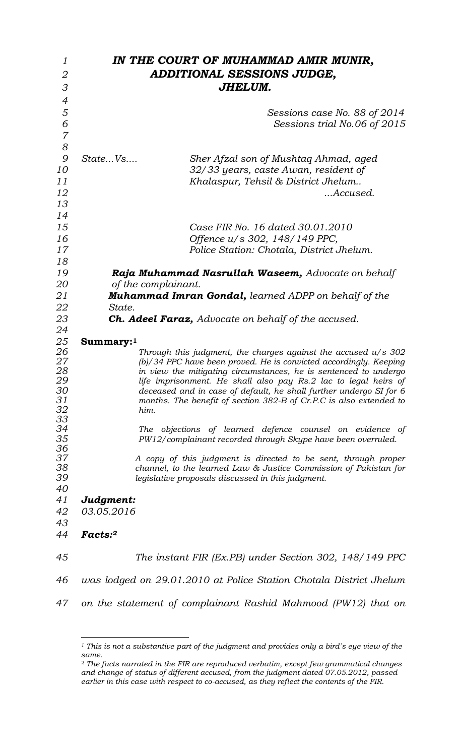| 1              | IN THE COURT OF MUHAMMAD AMIR MUNIR,                                                                                  |  |  |
|----------------|-----------------------------------------------------------------------------------------------------------------------|--|--|
| $\overline{2}$ | ADDITIONAL SESSIONS JUDGE,                                                                                            |  |  |
| 3              | JHELUM.                                                                                                               |  |  |
| $\overline{4}$ |                                                                                                                       |  |  |
| 5              | Sessions case No. 88 of 2014                                                                                          |  |  |
| 6              | Sessions trial No.06 of 2015                                                                                          |  |  |
| $\overline{7}$ |                                                                                                                       |  |  |
| 8              |                                                                                                                       |  |  |
| 9              | StateVs<br>Sher Afzal son of Mushtag Ahmad, aged                                                                      |  |  |
| 10             | 32/33 years, caste Awan, resident of                                                                                  |  |  |
| 11             | Khalaspur, Tehsil & District Jhelum                                                                                   |  |  |
| 12             | Accused.                                                                                                              |  |  |
| 13             |                                                                                                                       |  |  |
| 14             |                                                                                                                       |  |  |
| 15             | Case FIR No. 16 dated 30.01.2010                                                                                      |  |  |
| 16             |                                                                                                                       |  |  |
| 17             | Offence u/s 302, 148/149 PPC,                                                                                         |  |  |
| 18             | Police Station: Chotala, District Jhelum.                                                                             |  |  |
| 19             | Raja Muhammad Nasrullah Waseem, Advocate on behalf                                                                    |  |  |
|                | of the complainant.                                                                                                   |  |  |
| 20<br>21       |                                                                                                                       |  |  |
| 22             | <b>Muhammad Imran Gondal,</b> learned ADPP on behalf of the<br>State.                                                 |  |  |
| 23             | <b>Ch. Adeel Faraz,</b> Advocate on behalf of the accused.                                                            |  |  |
| 24             |                                                                                                                       |  |  |
| 25             |                                                                                                                       |  |  |
| 26             | $Summary:$ <sup>1</sup><br>Through this judgment, the charges against the accused $u/s$ 302                           |  |  |
| 27             | (b)/34 PPC have been proved. He is convicted accordingly. Keeping                                                     |  |  |
| 28<br>29       | in view the mitigating circumstances, he is sentenced to undergo                                                      |  |  |
|                | life imprisonment. He shall also pay Rs.2 lac to legal heirs of                                                       |  |  |
| 30             | deceased and in case of default, he shall further undergo SI for 6                                                    |  |  |
| 31<br>32       | months. The benefit of section 382-B of Cr.P.C is also extended to<br>him.                                            |  |  |
| 33             |                                                                                                                       |  |  |
| 34             | The objections of learned defence counsel on evidence of                                                              |  |  |
| 35             | PW12/complainant recorded through Skype have been overruled.                                                          |  |  |
| 36             |                                                                                                                       |  |  |
| 37             | A copy of this judgment is directed to be sent, through proper                                                        |  |  |
| 38<br>39       | channel, to the learned Law & Justice Commission of Pakistan for<br>legislative proposals discussed in this judgment. |  |  |
| 40             |                                                                                                                       |  |  |
| 41             | Judgment:                                                                                                             |  |  |
| 42             | 03.05.2016                                                                                                            |  |  |
| 43             |                                                                                                                       |  |  |
| 44             | Facts:2                                                                                                               |  |  |
|                |                                                                                                                       |  |  |
| 45             | The instant FIR (Ex.PB) under Section 302, 148/149 PPC                                                                |  |  |
|                |                                                                                                                       |  |  |
| 46             | was lodged on 29.01.2010 at Police Station Chotala District Jhelum                                                    |  |  |
|                |                                                                                                                       |  |  |
| 47             |                                                                                                                       |  |  |
|                | on the statement of complainant Rashid Mahmood (PW12) that on                                                         |  |  |
|                |                                                                                                                       |  |  |

 *This is not a substantive part of the judgment and provides only a bird's eye view of the same.*

 *The facts narrated in the FIR are reproduced verbatim, except few grammatical changes and change of status of different accused, from the judgment dated 07.05.2012, passed earlier in this case with respect to co-accused, as they reflect the contents of the FIR.*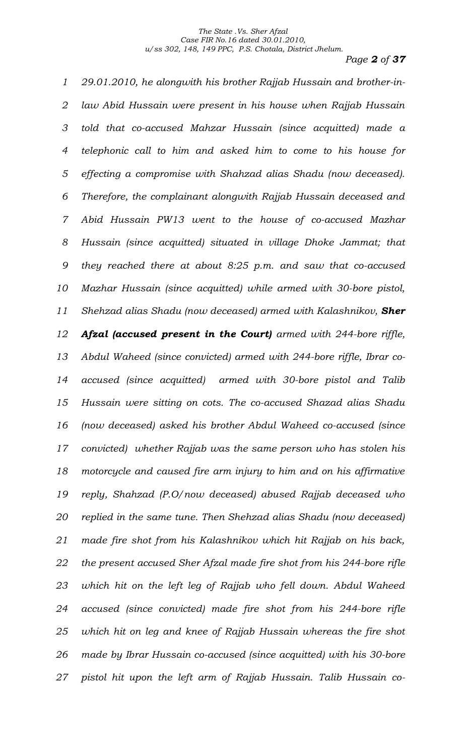*Page 2 of 37*

 *29.01.2010, he alongwith his brother Rajjab Hussain and brother-in- law Abid Hussain were present in his house when Rajjab Hussain told that co-accused Mahzar Hussain (since acquitted) made a telephonic call to him and asked him to come to his house for effecting a compromise with Shahzad alias Shadu (now deceased). Therefore, the complainant alongwith Rajjab Hussain deceased and Abid Hussain PW13 went to the house of co-accused Mazhar Hussain (since acquitted) situated in village Dhoke Jammat; that they reached there at about 8:25 p.m. and saw that co-accused Mazhar Hussain (since acquitted) while armed with 30-bore pistol, Shehzad alias Shadu (now deceased) armed with Kalashnikov, Sher Afzal (accused present in the Court) armed with 244-bore riffle, Abdul Waheed (since convicted) armed with 244-bore riffle, Ibrar co- accused (since acquitted) armed with 30-bore pistol and Talib Hussain were sitting on cots. The co-accused Shazad alias Shadu (now deceased) asked his brother Abdul Waheed co-accused (since convicted) whether Rajjab was the same person who has stolen his motorcycle and caused fire arm injury to him and on his affirmative reply, Shahzad (P.O/now deceased) abused Rajjab deceased who replied in the same tune. Then Shehzad alias Shadu (now deceased) made fire shot from his Kalashnikov which hit Rajjab on his back, the present accused Sher Afzal made fire shot from his 244-bore rifle which hit on the left leg of Rajjab who fell down. Abdul Waheed accused (since convicted) made fire shot from his 244-bore rifle which hit on leg and knee of Rajjab Hussain whereas the fire shot made by Ibrar Hussain co-accused (since acquitted) with his 30-bore pistol hit upon the left arm of Rajjab Hussain. Talib Hussain co-*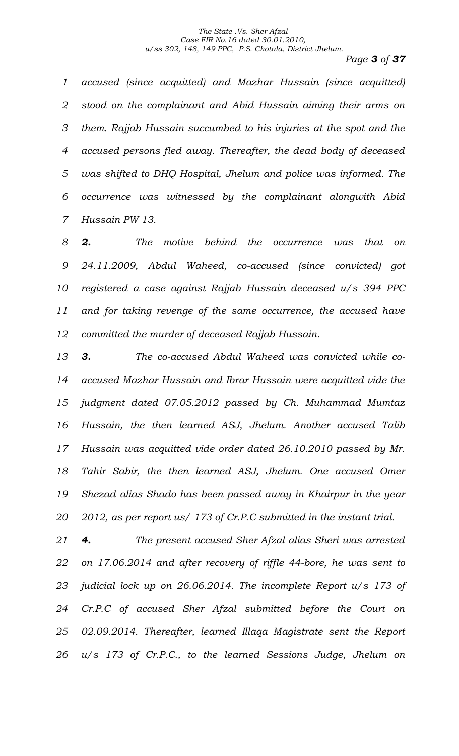*Page 3 of 37*

 *accused (since acquitted) and Mazhar Hussain (since acquitted) stood on the complainant and Abid Hussain aiming their arms on them. Rajjab Hussain succumbed to his injuries at the spot and the accused persons fled away. Thereafter, the dead body of deceased was shifted to DHQ Hospital, Jhelum and police was informed. The occurrence was witnessed by the complainant alongwith Abid Hussain PW 13.* 

 *2. The motive behind the occurrence was that on 24.11.2009, Abdul Waheed, co-accused (since convicted) got registered a case against Rajjab Hussain deceased u/s 394 PPC and for taking revenge of the same occurrence, the accused have committed the murder of deceased Rajjab Hussain.*

 *3. The co-accused Abdul Waheed was convicted while co- accused Mazhar Hussain and Ibrar Hussain were acquitted vide the judgment dated 07.05.2012 passed by Ch. Muhammad Mumtaz Hussain, the then learned ASJ, Jhelum. Another accused Talib Hussain was acquitted vide order dated 26.10.2010 passed by Mr. Tahir Sabir, the then learned ASJ, Jhelum. One accused Omer Shezad alias Shado has been passed away in Khairpur in the year 2012, as per report us/ 173 of Cr.P.C submitted in the instant trial.*

 *4. The present accused Sher Afzal alias Sheri was arrested on 17.06.2014 and after recovery of riffle 44-bore, he was sent to judicial lock up on 26.06.2014. The incomplete Report u/s 173 of Cr.P.C of accused Sher Afzal submitted before the Court on 02.09.2014. Thereafter, learned Illaqa Magistrate sent the Report u/s 173 of Cr.P.C., to the learned Sessions Judge, Jhelum on*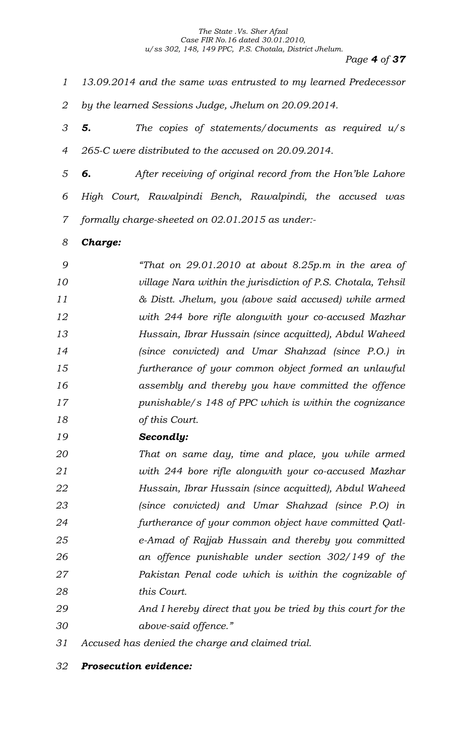*Page 4 of 37*

- *13.09.2014 and the same was entrusted to my learned Predecessor by the learned Sessions Judge, Jhelum on 20.09.2014.*
- *5. The copies of statements/documents as required u/s 265-C were distributed to the accused on 20.09.2014.*
- *6. After receiving of original record from the Hon'ble Lahore High Court, Rawalpindi Bench, Rawalpindi, the accused was formally charge-sheeted on 02.01.2015 as under:-*
- *Charge:*

 *"That on 29.01.2010 at about 8.25p.m in the area of village Nara within the jurisdiction of P.S. Chotala, Tehsil & Distt. Jhelum, you (above said accused) while armed with 244 bore rifle alongwith your co-accused Mazhar Hussain, Ibrar Hussain (since acquitted), Abdul Waheed (since convicted) and Umar Shahzad (since P.O.) in furtherance of your common object formed an unlawful assembly and thereby you have committed the offence punishable/s 148 of PPC which is within the cognizance of this Court.*

*Secondly:*

 *That on same day, time and place, you while armed with 244 bore rifle alongwith your co-accused Mazhar Hussain, Ibrar Hussain (since acquitted), Abdul Waheed (since convicted) and Umar Shahzad (since P.O) in furtherance of your common object have committed Qatl- e-Amad of Rajjab Hussain and thereby you committed an offence punishable under section 302/149 of the Pakistan Penal code which is within the cognizable of this Court.*

- *And I hereby direct that you be tried by this court for the above-said offence."*
- *Accused has denied the charge and claimed trial.*
- *Prosecution evidence:*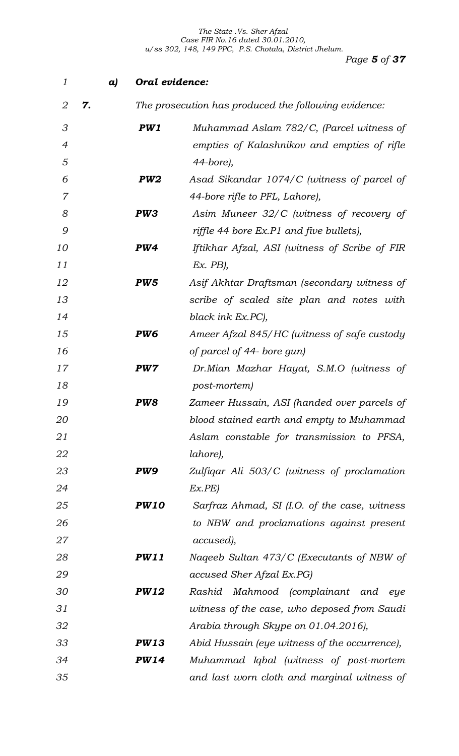| 1              | a) |                 | Oral evidence:                                       |  |
|----------------|----|-----------------|------------------------------------------------------|--|
| 2              | 7. |                 | The prosecution has produced the following evidence: |  |
| 3              |    | PW1             | Muhammad Aslam 782/C, (Parcel witness of             |  |
| $\overline{4}$ |    |                 | empties of Kalashnikov and empties of rifle          |  |
| 5              |    |                 | 44-bore),                                            |  |
| 6              |    | PW <sub>2</sub> | Asad Sikandar 1074/C (witness of parcel of           |  |
| 7              |    |                 | 44-bore rifle to PFL, Lahore),                       |  |
| 8              |    | PW3             | Asim Muneer 32/C (witness of recovery of             |  |
| 9              |    |                 | riffle 44 bore Ex.P1 and five bullets),              |  |
| 10             |    | PW4             | Iftikhar Afzal, ASI (witness of Scribe of FIR        |  |
| 11             |    |                 | $Ex.$ $PB$ ),                                        |  |
| 12             |    | PW <sub>5</sub> | Asif Akhtar Draftsman (secondary witness of          |  |
| 13             |    |                 | scribe of scaled site plan and notes with            |  |
| 14             |    |                 | black ink Ex.PC),                                    |  |
| 15             |    | PW <sub>6</sub> | Ameer Afzal 845/HC (witness of safe custody          |  |
| 16             |    |                 | of parcel of 44- bore gun)                           |  |
| 17             |    | PW7             | Dr.Mian Mazhar Hayat, S.M.O (witness of              |  |
| 18             |    |                 | post-mortem)                                         |  |
| 19             |    | PW8             | Zameer Hussain, ASI (handed over parcels of          |  |
| 20             |    |                 | blood stained earth and empty to Muhammad            |  |
| 21             |    |                 | Aslam constable for transmission to PFSA,            |  |
| 22             |    |                 | lahore),                                             |  |
| 23             |    | PW9             | Zulfigar Ali 503/C (witness of proclamation          |  |
| 24             |    |                 | Ex.PE                                                |  |
| 25             |    | <b>PW10</b>     | Sarfraz Ahmad, SI (I.O. of the case, witness         |  |
| 26             |    |                 | to NBW and proclamations against present             |  |
| 27             |    |                 | accused),                                            |  |
| 28             |    | <b>PW11</b>     | Naqeeb Sultan 473/C (Executants of NBW of            |  |
| 29             |    |                 | accused Sher Afzal Ex.PG)                            |  |
| 30             |    | <b>PW12</b>     | Rashid Mahmood (complainant and eye                  |  |
| 31             |    |                 | witness of the case, who deposed from Saudi          |  |
| 32             |    |                 | Arabia through Skype on 01.04.2016),                 |  |
| 33             |    | <b>PW13</b>     | Abid Hussain (eye witness of the occurrence),        |  |
| 34             |    | <b>PW14</b>     | Muhammad Iqbal (witness of post-mortem               |  |
| 35             |    |                 | and last worn cloth and marginal witness of          |  |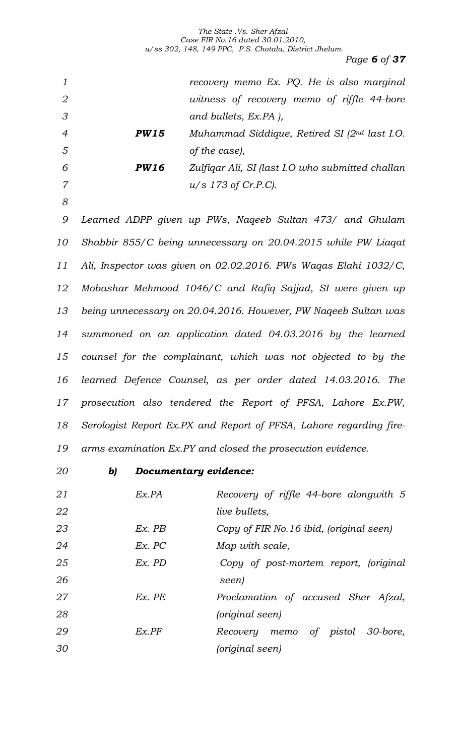*Page 6 of 37*

| $\mathfrak{1}$   |             | recovery memo Ex. PQ. He is also marginal                          |
|------------------|-------------|--------------------------------------------------------------------|
| $\overline{2}$   |             | witness of recovery memo of riffle 44-bore                         |
| $\mathcal S$     |             | and bullets, Ex.PA ),                                              |
| $\overline{4}$   | <b>PW15</b> | Muhammad Siddique, Retired SI $(2^{nd}$ last I.O.                  |
| 5                |             | of the case),                                                      |
| 6                | <b>PW16</b> | Zulfigar Ali, SI (last I.O who submitted challan                   |
| $\overline{7}$   |             | $u/s$ 173 of Cr.P.C).                                              |
| $\boldsymbol{8}$ |             |                                                                    |
| 9                |             | Learned ADPP given up PWs, Nageeb Sultan 473/ and Ghulam           |
| 10               |             | Shabbir 855/C being unnecessary on 20.04.2015 while PW Liagat      |
| 11               |             | Ali, Inspector was given on 02.02.2016. PWs Waqas Elahi 1032/C,    |
| 12               |             | Mobashar Mehmood 1046/C and Rafiq Sajjad, SI were given up         |
| 13               |             | being unnecessary on 20.04.2016. However, PW Naqeeb Sultan was     |
| 14               |             | summoned on an application dated 04.03.2016 by the learned         |
| 15               |             | counsel for the complainant, which was not objected to by the      |
| 16               |             | learned Defence Counsel, as per order dated 14.03.2016. The        |
| 17               |             | prosecution also tendered the Report of PFSA, Lahore Ex.PW,        |
| 18               |             | Serologist Report Ex.PX and Report of PFSA, Lahore regarding fire- |
| 19               |             | arms examination Ex.PY and closed the prosecution evidence.        |
| 20               | b)          | Documentary evidence:                                              |

| 21 | Ex.PA    | Recovery of riffle 44-bore alongwith 5  |
|----|----------|-----------------------------------------|
| 22 |          | <i>live bullets,</i>                    |
| 23 | $Ex.$ PB | Copy of FIR No.16 ibid, (original seen) |
| 24 | Ex. PC   | Map with scale,                         |
| 25 | $Ex.$ PD | Copy of post-mortem report, (original   |
| 26 |          | seen)                                   |
| 27 | $Ex.$ PE | Proclamation of accused Sher Afzal,     |
| 28 |          | (original seen)                         |
| 29 | Ex.PF    | 30-bore,<br>Recovery memo of pistol     |
| 30 |          | (original seen)                         |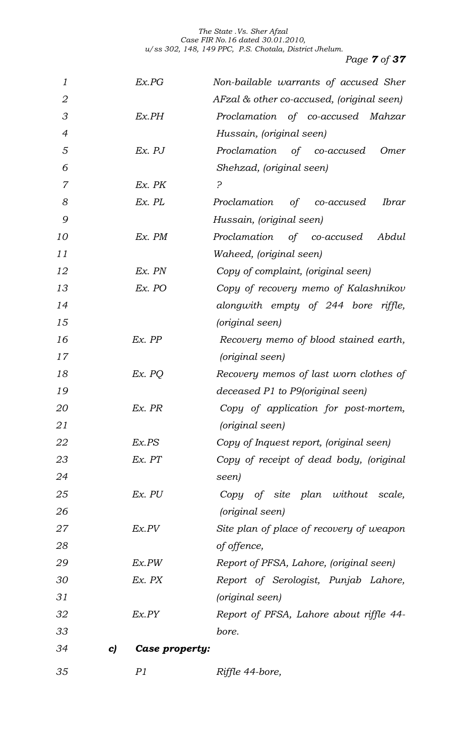*Page 7 of 37*

| 1              | Ex.PG                | Non-bailable warrants of accused Sher     |
|----------------|----------------------|-------------------------------------------|
| $\overline{2}$ |                      | AFzal & other co-accused, (original seen) |
| 3              | Ex.PH                | Proclamation of co-accused Mahzar         |
| $\overline{4}$ |                      | Hussain, (original seen)                  |
| 5              | $Ex.$ $PJ$           | Proclamation of co-accused<br>Omer        |
| 6              |                      | Shehzad, (original seen)                  |
| $\overline{7}$ | Ex. PK               | <u>?</u>                                  |
| 8              | $Ex.$ $PL$           | Proclamation<br>of co-accused<br>Ibrar    |
| 9              |                      | Hussain, (original seen)                  |
| 10             | Ex. PM               | Proclamation of co-accused<br>Abdul       |
| 11             |                      | Waheed, (original seen)                   |
| 12             | Ex. PN               | Copy of complaint, (original seen)        |
| 13             | Ex. PO               | Copy of recovery memo of Kalashnikov      |
| 14             |                      | alongwith empty of 244 bore riffle,       |
| 15             |                      | (original seen)                           |
| 16             | Ex. PP               | Recovery memo of blood stained earth,     |
| 17             |                      | (original seen)                           |
| 18             | Ex. PQ               | Recovery memos of last worn clothes of    |
| 19             |                      | deceased P1 to P9(original seen)          |
| 20             | Ex. PR               | Copy of application for post-mortem,      |
| 21             |                      | (original seen)                           |
| 22             | Ex.PS                | Copy of Inquest report, (original seen)   |
| 23             | Ex. PT               | Copy of receipt of dead body, (original   |
| 24             |                      | seen)                                     |
| 25             | Ex. PU               | Copy of site plan without scale,          |
| 26             |                      | (original seen)                           |
| 27             | Ex.PV                | Site plan of place of recovery of weapon  |
| 28             |                      | of offence,                               |
| 29             | Ex.PW                | Report of PFSA, Lahore, (original seen)   |
| 30             | Ex. PX               | Report of Serologist, Punjab Lahore,      |
| 31             |                      | (original seen)                           |
| 32             | Ex.PY                | Report of PFSA, Lahore about riffle 44-   |
| 33             |                      | bore.                                     |
| 34             | Case property:<br>C) |                                           |

*P1 Riffle 44-bore,*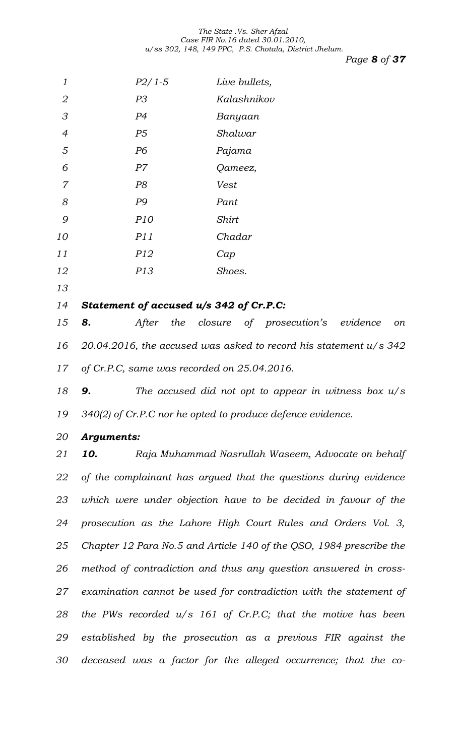*Page 8 of 37*

| 1              | $P2/1-5$                                    | Live bullets,                                                       |
|----------------|---------------------------------------------|---------------------------------------------------------------------|
| $\mathbf 2$    | P <sub>3</sub>                              | Kalashnikov                                                         |
| $\mathcal S$   | P <sub>4</sub>                              | Banyaan                                                             |
| $\overline{4}$ | P5                                          | Shalwar                                                             |
| 5              | P <sub>6</sub>                              | Pajama                                                              |
| 6              | P7                                          | Qameez,                                                             |
| $\overline{7}$ | P <sub>8</sub>                              | Vest                                                                |
| 8              | P9                                          | Pant                                                                |
| 9              | P10                                         | <b>Shirt</b>                                                        |
| 10             | P11                                         | Chadar                                                              |
| 11             | P12                                         | Cap                                                                 |
| 12             | P13                                         | Shoes.                                                              |
| 13             |                                             |                                                                     |
| 14             | Statement of accused u/s 342 of Cr.P.C:     |                                                                     |
| 15             | 8.<br>After                                 | the closure of prosecution's evidence<br>on                         |
| 16             |                                             | 20.04.2016, the accused was asked to record his statement $u/s$ 342 |
| 17             | of Cr.P.C, same was recorded on 25.04.2016. |                                                                     |
| 18             | 9.                                          | The accused did not opt to appear in witness box $u/s$              |
| 19             |                                             | $340(2)$ of Cr.P.C nor he opted to produce defence evidence.        |
| 20             | <b>Arguments:</b>                           |                                                                     |
| 21             | 10.                                         | Raja Muhammad Nasrullah Waseem, Advocate on behalf                  |
| 22             |                                             | of the complainant has argued that the questions during evidence    |
| 23             |                                             | which were under objection have to be decided in favour of the      |
| 24             |                                             | prosecution as the Lahore High Court Rules and Orders Vol. 3,       |
| 25             |                                             | Chapter 12 Para No.5 and Article 140 of the QSO, 1984 prescribe the |
| 26             |                                             | method of contradiction and thus any question answered in cross-    |
| 27             |                                             | examination cannot be used for contradiction with the statement of  |
| 28             |                                             | the PWs recorded $u/s$ 161 of Cr.P.C; that the motive has been      |
| 29             |                                             | established by the prosecution as a previous FIR against the        |
| 30             |                                             | deceased was a factor for the alleged occurrence; that the co-      |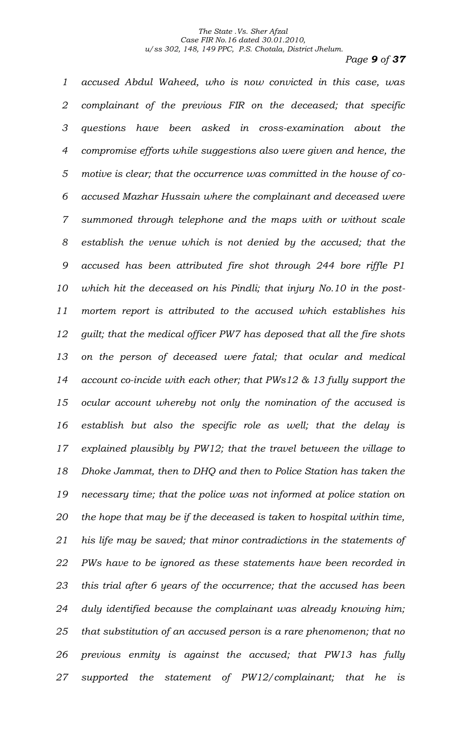*Page 9 of 37*

 *accused Abdul Waheed, who is now convicted in this case, was complainant of the previous FIR on the deceased; that specific questions have been asked in cross-examination about the compromise efforts while suggestions also were given and hence, the motive is clear; that the occurrence was committed in the house of co- accused Mazhar Hussain where the complainant and deceased were summoned through telephone and the maps with or without scale establish the venue which is not denied by the accused; that the accused has been attributed fire shot through 244 bore riffle P1 which hit the deceased on his Pindli; that injury No.10 in the post- mortem report is attributed to the accused which establishes his guilt; that the medical officer PW7 has deposed that all the fire shots on the person of deceased were fatal; that ocular and medical account co-incide with each other; that PWs12 & 13 fully support the ocular account whereby not only the nomination of the accused is establish but also the specific role as well; that the delay is explained plausibly by PW12; that the travel between the village to Dhoke Jammat, then to DHQ and then to Police Station has taken the necessary time; that the police was not informed at police station on the hope that may be if the deceased is taken to hospital within time, his life may be saved; that minor contradictions in the statements of PWs have to be ignored as these statements have been recorded in this trial after 6 years of the occurrence; that the accused has been duly identified because the complainant was already knowing him; that substitution of an accused person is a rare phenomenon; that no previous enmity is against the accused; that PW13 has fully supported the statement of PW12/complainant; that he is*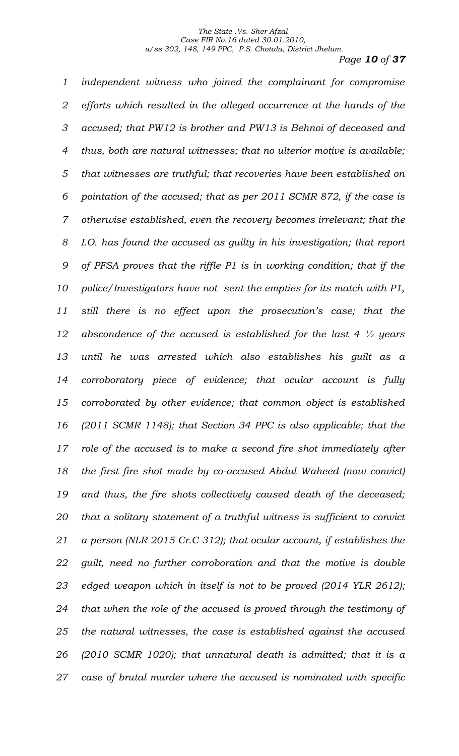*Page 10 of 37*

 *independent witness who joined the complainant for compromise efforts which resulted in the alleged occurrence at the hands of the accused; that PW12 is brother and PW13 is Behnoi of deceased and thus, both are natural witnesses; that no ulterior motive is available; that witnesses are truthful; that recoveries have been established on pointation of the accused; that as per 2011 SCMR 872, if the case is otherwise established, even the recovery becomes irrelevant; that the I.O. has found the accused as guilty in his investigation; that report of PFSA proves that the riffle P1 is in working condition; that if the police/Investigators have not sent the empties for its match with P1, still there is no effect upon the prosecution's case; that the abscondence of the accused is established for the last 4 ½ years until he was arrested which also establishes his guilt as a corroboratory piece of evidence; that ocular account is fully corroborated by other evidence; that common object is established (2011 SCMR 1148); that Section 34 PPC is also applicable; that the role of the accused is to make a second fire shot immediately after the first fire shot made by co-accused Abdul Waheed (now convict) and thus, the fire shots collectively caused death of the deceased; that a solitary statement of a truthful witness is sufficient to convict a person (NLR 2015 Cr.C 312); that ocular account, if establishes the guilt, need no further corroboration and that the motive is double edged weapon which in itself is not to be proved (2014 YLR 2612); that when the role of the accused is proved through the testimony of the natural witnesses, the case is established against the accused (2010 SCMR 1020); that unnatural death is admitted; that it is a case of brutal murder where the accused is nominated with specific*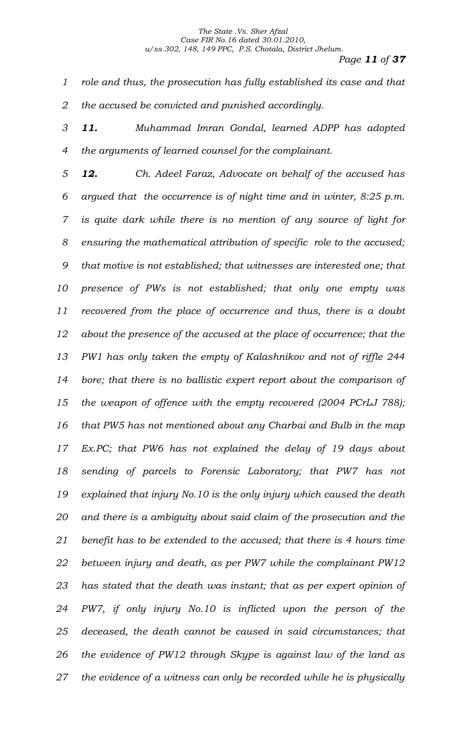*Page 11 of 37*

 *role and thus, the prosecution has fully established its case and that the accused be convicted and punished accordingly.*

 *11. Muhammad Imran Gondal, learned ADPP has adopted the arguments of learned counsel for the complainant.*

 *12. Ch. Adeel Faraz, Advocate on behalf of the accused has argued that the occurrence is of night time and in winter, 8:25 p.m. is quite dark while there is no mention of any source of light for ensuring the mathematical attribution of specific role to the accused; that motive is not established; that witnesses are interested one; that presence of PWs is not established; that only one empty was recovered from the place of occurrence and thus, there is a doubt about the presence of the accused at the place of occurrence; that the PW1 has only taken the empty of Kalashnikov and not of riffle 244 bore; that there is no ballistic expert report about the comparison of the weapon of offence with the empty recovered (2004 PCrLJ 788); that PW5 has not mentioned about any Charbai and Bulb in the map Ex.PC; that PW6 has not explained the delay of 19 days about sending of parcels to Forensic Laboratory; that PW7 has not explained that injury No.10 is the only injury which caused the death and there is a ambiguity about said claim of the prosecution and the benefit has to be extended to the accused; that there is 4 hours time between injury and death, as per PW7 while the complainant PW12 has stated that the death was instant; that as per expert opinion of PW7, if only injury No.10 is inflicted upon the person of the deceased, the death cannot be caused in said circumstances; that the evidence of PW12 through Skype is against law of the land as the evidence of a witness can only be recorded while he is physically*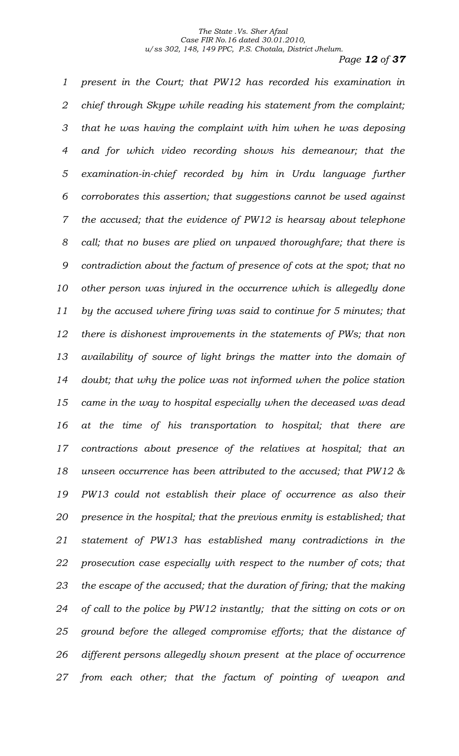*Page 12 of 37*

 *present in the Court; that PW12 has recorded his examination in chief through Skype while reading his statement from the complaint; that he was having the complaint with him when he was deposing and for which video recording shows his demeanour; that the examination-in-chief recorded by him in Urdu language further corroborates this assertion; that suggestions cannot be used against the accused; that the evidence of PW12 is hearsay about telephone call; that no buses are plied on unpaved thoroughfare; that there is contradiction about the factum of presence of cots at the spot; that no other person was injured in the occurrence which is allegedly done by the accused where firing was said to continue for 5 minutes; that there is dishonest improvements in the statements of PWs; that non availability of source of light brings the matter into the domain of doubt; that why the police was not informed when the police station came in the way to hospital especially when the deceased was dead at the time of his transportation to hospital; that there are contractions about presence of the relatives at hospital; that an unseen occurrence has been attributed to the accused; that PW12 & PW13 could not establish their place of occurrence as also their presence in the hospital; that the previous enmity is established; that statement of PW13 has established many contradictions in the prosecution case especially with respect to the number of cots; that the escape of the accused; that the duration of firing; that the making of call to the police by PW12 instantly; that the sitting on cots or on ground before the alleged compromise efforts; that the distance of different persons allegedly shown present at the place of occurrence from each other; that the factum of pointing of weapon and*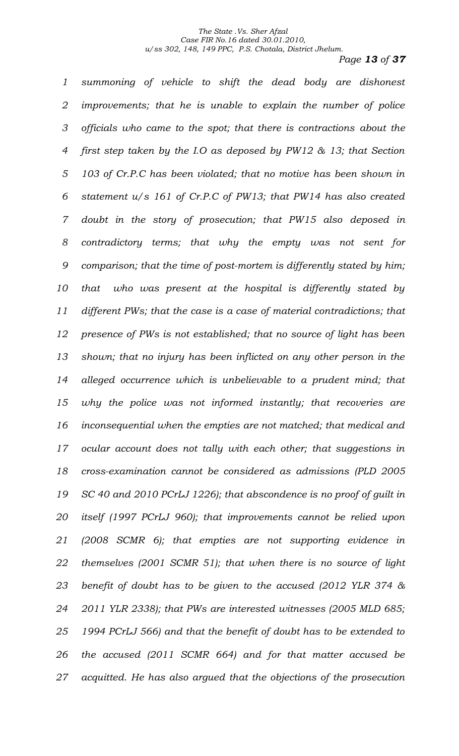*Page 13 of 37*

 *summoning of vehicle to shift the dead body are dishonest improvements; that he is unable to explain the number of police officials who came to the spot; that there is contractions about the first step taken by the I.O as deposed by PW12 & 13; that Section 103 of Cr.P.C has been violated; that no motive has been shown in statement u/s 161 of Cr.P.C of PW13; that PW14 has also created doubt in the story of prosecution; that PW15 also deposed in contradictory terms; that why the empty was not sent for comparison; that the time of post-mortem is differently stated by him; that who was present at the hospital is differently stated by different PWs; that the case is a case of material contradictions; that presence of PWs is not established; that no source of light has been shown; that no injury has been inflicted on any other person in the alleged occurrence which is unbelievable to a prudent mind; that why the police was not informed instantly; that recoveries are inconsequential when the empties are not matched; that medical and ocular account does not tally with each other; that suggestions in cross-examination cannot be considered as admissions (PLD 2005 SC 40 and 2010 PCrLJ 1226); that abscondence is no proof of guilt in itself (1997 PCrLJ 960); that improvements cannot be relied upon (2008 SCMR 6); that empties are not supporting evidence in themselves (2001 SCMR 51); that when there is no source of light benefit of doubt has to be given to the accused (2012 YLR 374 & 2011 YLR 2338); that PWs are interested witnesses (2005 MLD 685; 1994 PCrLJ 566) and that the benefit of doubt has to be extended to the accused (2011 SCMR 664) and for that matter accused be acquitted. He has also argued that the objections of the prosecution*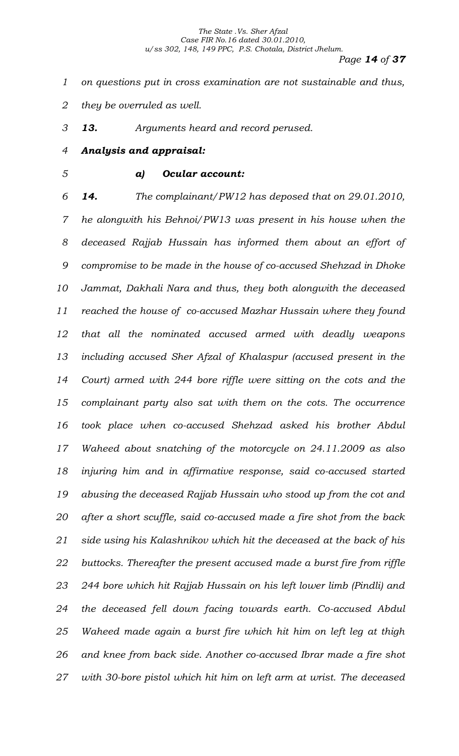- *on questions put in cross examination are not sustainable and thus,*
- *they be overruled as well.*

*13. Arguments heard and record perused.*

*Analysis and appraisal:*

## *a) Ocular account:*

 *14. The complainant/PW12 has deposed that on 29.01.2010, he alongwith his Behnoi/PW13 was present in his house when the deceased Rajjab Hussain has informed them about an effort of compromise to be made in the house of co-accused Shehzad in Dhoke Jammat, Dakhali Nara and thus, they both alongwith the deceased reached the house of co-accused Mazhar Hussain where they found that all the nominated accused armed with deadly weapons including accused Sher Afzal of Khalaspur (accused present in the Court) armed with 244 bore riffle were sitting on the cots and the complainant party also sat with them on the cots. The occurrence took place when co-accused Shehzad asked his brother Abdul Waheed about snatching of the motorcycle on 24.11.2009 as also injuring him and in affirmative response, said co-accused started abusing the deceased Rajjab Hussain who stood up from the cot and after a short scuffle, said co-accused made a fire shot from the back side using his Kalashnikov which hit the deceased at the back of his buttocks. Thereafter the present accused made a burst fire from riffle 244 bore which hit Rajjab Hussain on his left lower limb (Pindli) and the deceased fell down facing towards earth. Co-accused Abdul Waheed made again a burst fire which hit him on left leg at thigh and knee from back side. Another co-accused Ibrar made a fire shot with 30-bore pistol which hit him on left arm at wrist. The deceased*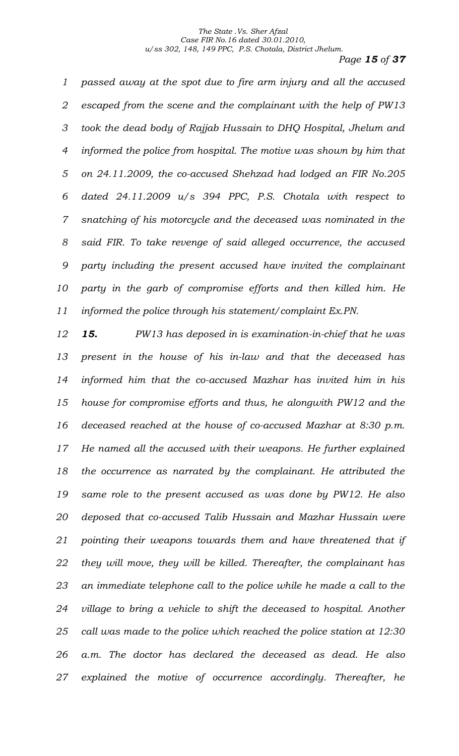*Page 15 of 37*

 *passed away at the spot due to fire arm injury and all the accused escaped from the scene and the complainant with the help of PW13 took the dead body of Rajjab Hussain to DHQ Hospital, Jhelum and informed the police from hospital. The motive was shown by him that on 24.11.2009, the co-accused Shehzad had lodged an FIR No.205 dated 24.11.2009 u/s 394 PPC, P.S. Chotala with respect to snatching of his motorcycle and the deceased was nominated in the said FIR. To take revenge of said alleged occurrence, the accused party including the present accused have invited the complainant party in the garb of compromise efforts and then killed him. He informed the police through his statement/complaint Ex.PN.* 

 *15. PW13 has deposed in is examination-in-chief that he was present in the house of his in-law and that the deceased has informed him that the co-accused Mazhar has invited him in his house for compromise efforts and thus, he alongwith PW12 and the deceased reached at the house of co-accused Mazhar at 8:30 p.m. He named all the accused with their weapons. He further explained the occurrence as narrated by the complainant. He attributed the same role to the present accused as was done by PW12. He also deposed that co-accused Talib Hussain and Mazhar Hussain were pointing their weapons towards them and have threatened that if they will move, they will be killed. Thereafter, the complainant has an immediate telephone call to the police while he made a call to the village to bring a vehicle to shift the deceased to hospital. Another call was made to the police which reached the police station at 12:30 a.m. The doctor has declared the deceased as dead. He also explained the motive of occurrence accordingly. Thereafter, he*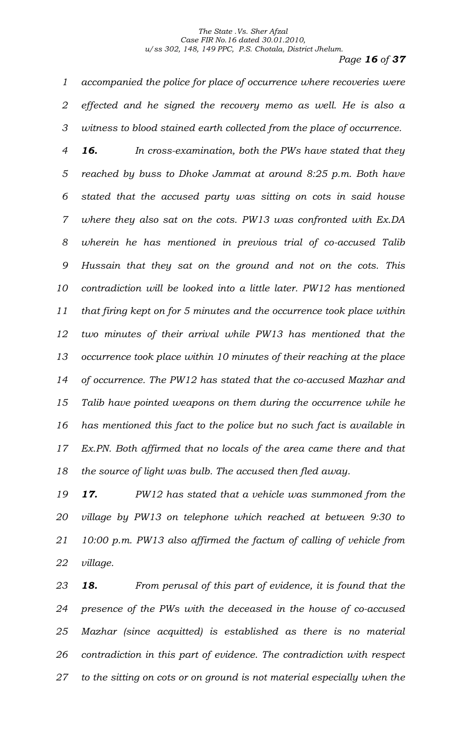*Page 16 of 37*

 *accompanied the police for place of occurrence where recoveries were effected and he signed the recovery memo as well. He is also a witness to blood stained earth collected from the place of occurrence.* 

 *16. In cross-examination, both the PWs have stated that they reached by buss to Dhoke Jammat at around 8:25 p.m. Both have stated that the accused party was sitting on cots in said house where they also sat on the cots. PW13 was confronted with Ex.DA wherein he has mentioned in previous trial of co-accused Talib Hussain that they sat on the ground and not on the cots. This contradiction will be looked into a little later. PW12 has mentioned that firing kept on for 5 minutes and the occurrence took place within two minutes of their arrival while PW13 has mentioned that the occurrence took place within 10 minutes of their reaching at the place of occurrence. The PW12 has stated that the co-accused Mazhar and Talib have pointed weapons on them during the occurrence while he has mentioned this fact to the police but no such fact is available in Ex.PN. Both affirmed that no locals of the area came there and that the source of light was bulb. The accused then fled away.* 

 *17. PW12 has stated that a vehicle was summoned from the village by PW13 on telephone which reached at between 9:30 to 10:00 p.m. PW13 also affirmed the factum of calling of vehicle from village.*

 *18. From perusal of this part of evidence, it is found that the presence of the PWs with the deceased in the house of co-accused Mazhar (since acquitted) is established as there is no material contradiction in this part of evidence. The contradiction with respect to the sitting on cots or on ground is not material especially when the*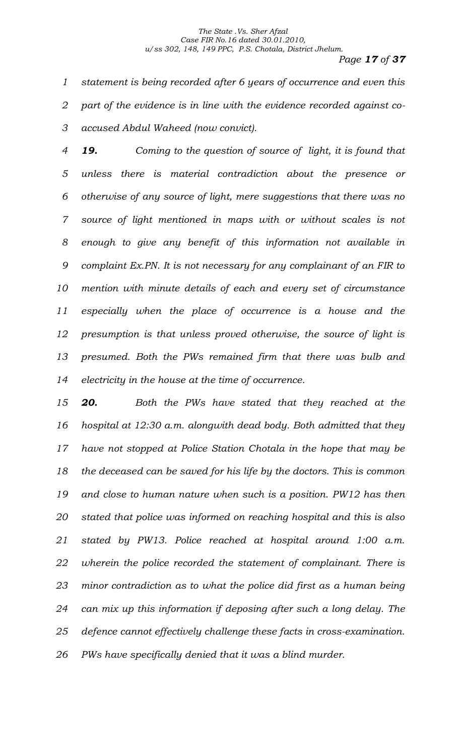*Page 17 of 37*

 *statement is being recorded after 6 years of occurrence and even this part of the evidence is in line with the evidence recorded against co-accused Abdul Waheed (now convict).* 

 *19. Coming to the question of source of light, it is found that unless there is material contradiction about the presence or otherwise of any source of light, mere suggestions that there was no source of light mentioned in maps with or without scales is not enough to give any benefit of this information not available in complaint Ex.PN. It is not necessary for any complainant of an FIR to mention with minute details of each and every set of circumstance especially when the place of occurrence is a house and the presumption is that unless proved otherwise, the source of light is presumed. Both the PWs remained firm that there was bulb and electricity in the house at the time of occurrence.* 

 *20. Both the PWs have stated that they reached at the hospital at 12:30 a.m. alongwith dead body. Both admitted that they have not stopped at Police Station Chotala in the hope that may be the deceased can be saved for his life by the doctors. This is common and close to human nature when such is a position. PW12 has then stated that police was informed on reaching hospital and this is also stated by PW13. Police reached at hospital around 1:00 a.m. wherein the police recorded the statement of complainant. There is minor contradiction as to what the police did first as a human being can mix up this information if deposing after such a long delay. The defence cannot effectively challenge these facts in cross-examination. PWs have specifically denied that it was a blind murder.*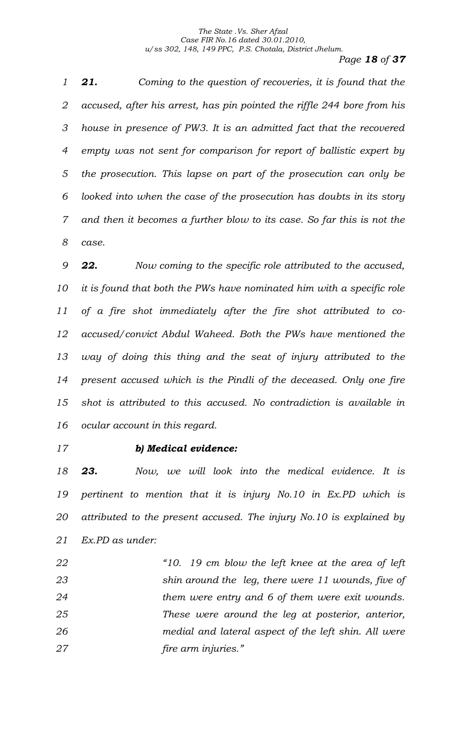*Page 18 of 37*

 *21. Coming to the question of recoveries, it is found that the accused, after his arrest, has pin pointed the riffle 244 bore from his house in presence of PW3. It is an admitted fact that the recovered empty was not sent for comparison for report of ballistic expert by the prosecution. This lapse on part of the prosecution can only be looked into when the case of the prosecution has doubts in its story and then it becomes a further blow to its case. So far this is not the case.* 

 *22. Now coming to the specific role attributed to the accused, it is found that both the PWs have nominated him with a specific role of a fire shot immediately after the fire shot attributed to co- accused/convict Abdul Waheed. Both the PWs have mentioned the way of doing this thing and the seat of injury attributed to the present accused which is the Pindli of the deceased. Only one fire shot is attributed to this accused. No contradiction is available in ocular account in this regard.* 

## *b) Medical evidence:*

 *23. Now, we will look into the medical evidence. It is pertinent to mention that it is injury No.10 in Ex.PD which is attributed to the present accused. The injury No.10 is explained by Ex.PD as under:*

 *"10. 19 cm blow the left knee at the area of left shin around the leg, there were 11 wounds, five of them were entry and 6 of them were exit wounds. These were around the leg at posterior, anterior, medial and lateral aspect of the left shin. All were fire arm injuries."*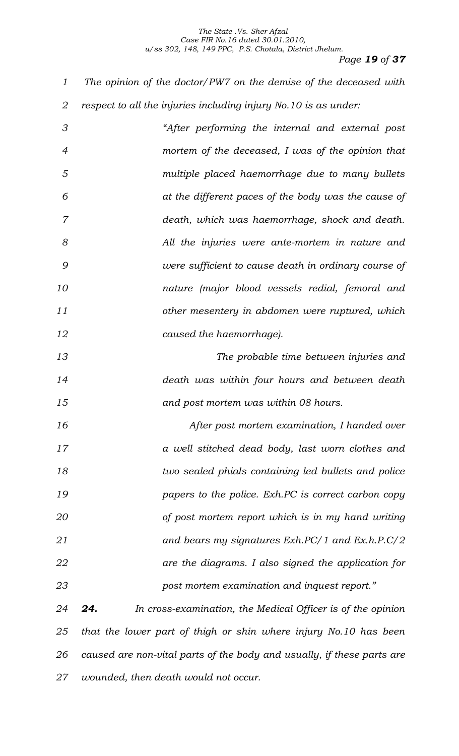*Page 19 of 37*

 *The opinion of the doctor/PW7 on the demise of the deceased with respect to all the injuries including injury No.10 is as under:*

 *"After performing the internal and external post mortem of the deceased, I was of the opinion that multiple placed haemorrhage due to many bullets at the different paces of the body was the cause of death, which was haemorrhage, shock and death. All the injuries were ante-mortem in nature and were sufficient to cause death in ordinary course of nature (major blood vessels redial, femoral and other mesentery in abdomen were ruptured, which caused the haemorrhage).* 

 *The probable time between injuries and death was within four hours and between death and post mortem was within 08 hours.*

 *After post mortem examination, I handed over a well stitched dead body, last worn clothes and two sealed phials containing led bullets and police papers to the police. Exh.PC is correct carbon copy of post mortem report which is in my hand writing and bears my signatures Exh.PC/1 and Ex.h.P.C/2 are the diagrams. I also signed the application for post mortem examination and inquest report."* 

 *24. In cross-examination, the Medical Officer is of the opinion that the lower part of thigh or shin where injury No.10 has been caused are non-vital parts of the body and usually, if these parts are wounded, then death would not occur.*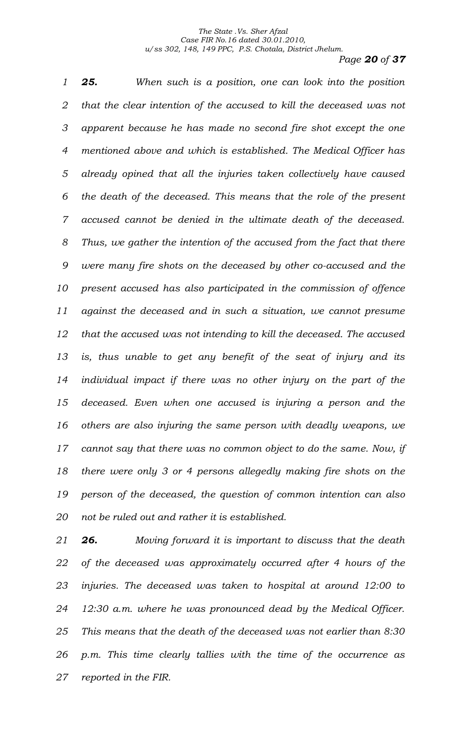*Page 20 of 37*

 *25. When such is a position, one can look into the position that the clear intention of the accused to kill the deceased was not apparent because he has made no second fire shot except the one mentioned above and which is established. The Medical Officer has already opined that all the injuries taken collectively have caused the death of the deceased. This means that the role of the present accused cannot be denied in the ultimate death of the deceased. Thus, we gather the intention of the accused from the fact that there were many fire shots on the deceased by other co-accused and the present accused has also participated in the commission of offence against the deceased and in such a situation, we cannot presume that the accused was not intending to kill the deceased. The accused is, thus unable to get any benefit of the seat of injury and its individual impact if there was no other injury on the part of the deceased. Even when one accused is injuring a person and the others are also injuring the same person with deadly weapons, we cannot say that there was no common object to do the same. Now, if there were only 3 or 4 persons allegedly making fire shots on the person of the deceased, the question of common intention can also not be ruled out and rather it is established.* 

 *26. Moving forward it is important to discuss that the death of the deceased was approximately occurred after 4 hours of the injuries. The deceased was taken to hospital at around 12:00 to 12:30 a.m. where he was pronounced dead by the Medical Officer. This means that the death of the deceased was not earlier than 8:30 p.m. This time clearly tallies with the time of the occurrence as reported in the FIR.*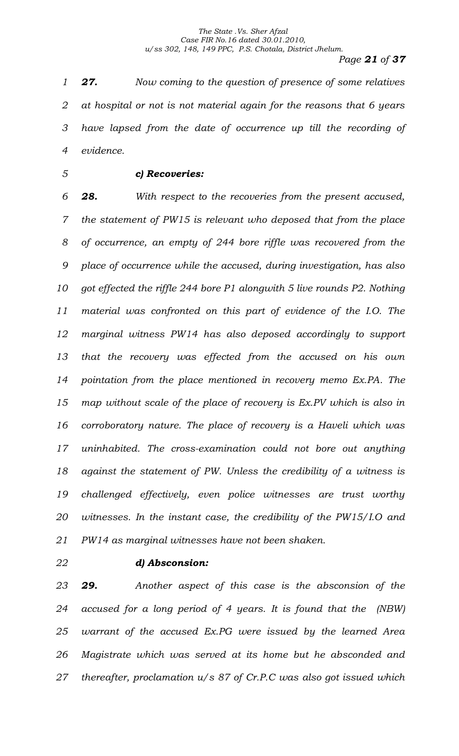*Page 21 of 37*

 *27. Now coming to the question of presence of some relatives at hospital or not is not material again for the reasons that 6 years have lapsed from the date of occurrence up till the recording of evidence.* 

## *c) Recoveries:*

 *28. With respect to the recoveries from the present accused, the statement of PW15 is relevant who deposed that from the place of occurrence, an empty of 244 bore riffle was recovered from the place of occurrence while the accused, during investigation, has also got effected the riffle 244 bore P1 alongwith 5 live rounds P2. Nothing material was confronted on this part of evidence of the I.O. The marginal witness PW14 has also deposed accordingly to support that the recovery was effected from the accused on his own pointation from the place mentioned in recovery memo Ex.PA. The map without scale of the place of recovery is Ex.PV which is also in corroboratory nature. The place of recovery is a Haveli which was uninhabited. The cross-examination could not bore out anything against the statement of PW. Unless the credibility of a witness is challenged effectively, even police witnesses are trust worthy witnesses. In the instant case, the credibility of the PW15/I.O and PW14 as marginal witnesses have not been shaken.* 

## *d) Absconsion:*

 *29. Another aspect of this case is the absconsion of the accused for a long period of 4 years. It is found that the (NBW) warrant of the accused Ex.PG were issued by the learned Area Magistrate which was served at its home but he absconded and thereafter, proclamation u/s 87 of Cr.P.C was also got issued which*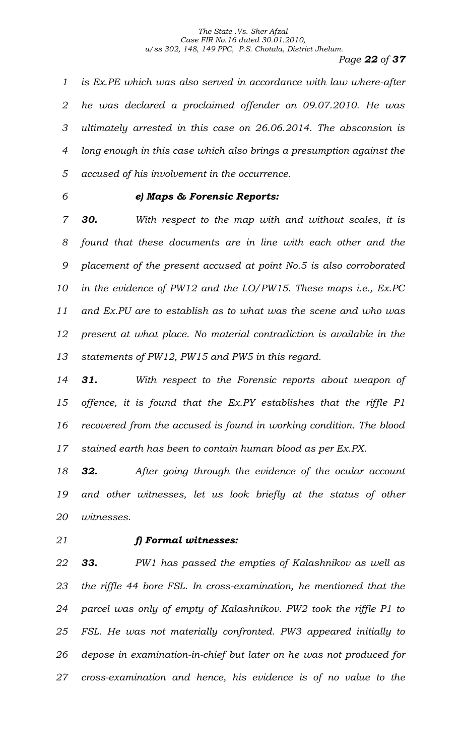## *Page 22 of 37*

 *is Ex.PE which was also served in accordance with law where-after he was declared a proclaimed offender on 09.07.2010. He was ultimately arrested in this case on 26.06.2014. The absconsion is long enough in this case which also brings a presumption against the accused of his involvement in the occurrence.* 

## *e) Maps & Forensic Reports:*

 *30. With respect to the map with and without scales, it is found that these documents are in line with each other and the placement of the present accused at point No.5 is also corroborated in the evidence of PW12 and the I.O/PW15. These maps i.e., Ex.PC and Ex.PU are to establish as to what was the scene and who was present at what place. No material contradiction is available in the statements of PW12, PW15 and PW5 in this regard.*

 *31. With respect to the Forensic reports about weapon of offence, it is found that the Ex.PY establishes that the riffle P1 recovered from the accused is found in working condition. The blood stained earth has been to contain human blood as per Ex.PX.*

 *32. After going through the evidence of the ocular account*  19 and other witnesses, let us look briefly at the status of other *witnesses.*

## *f) Formal witnesses:*

 *33. PW1 has passed the empties of Kalashnikov as well as the riffle 44 bore FSL. In cross-examination, he mentioned that the parcel was only of empty of Kalashnikov. PW2 took the riffle P1 to FSL. He was not materially confronted. PW3 appeared initially to depose in examination-in-chief but later on he was not produced for cross-examination and hence, his evidence is of no value to the*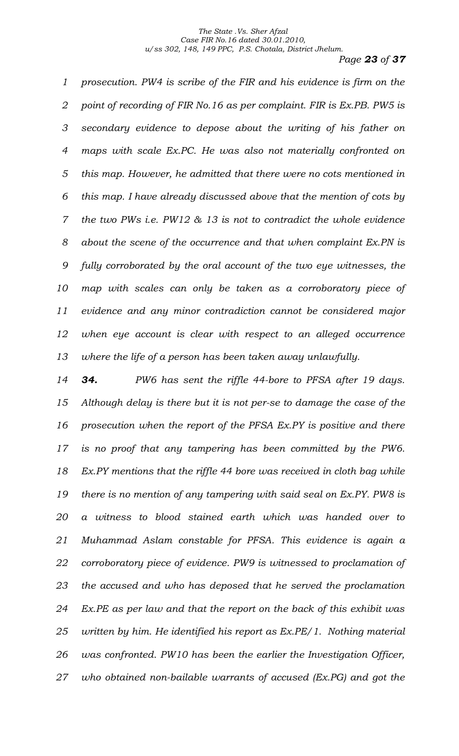*Page 23 of 37*

 *prosecution. PW4 is scribe of the FIR and his evidence is firm on the point of recording of FIR No.16 as per complaint. FIR is Ex.PB. PW5 is secondary evidence to depose about the writing of his father on maps with scale Ex.PC. He was also not materially confronted on this map. However, he admitted that there were no cots mentioned in this map. I have already discussed above that the mention of cots by the two PWs i.e. PW12 & 13 is not to contradict the whole evidence about the scene of the occurrence and that when complaint Ex.PN is fully corroborated by the oral account of the two eye witnesses, the map with scales can only be taken as a corroboratory piece of evidence and any minor contradiction cannot be considered major when eye account is clear with respect to an alleged occurrence where the life of a person has been taken away unlawfully.* 

 *34. PW6 has sent the riffle 44-bore to PFSA after 19 days. Although delay is there but it is not per-se to damage the case of the prosecution when the report of the PFSA Ex.PY is positive and there is no proof that any tampering has been committed by the PW6. Ex.PY mentions that the riffle 44 bore was received in cloth bag while there is no mention of any tampering with said seal on Ex.PY. PW8 is a witness to blood stained earth which was handed over to Muhammad Aslam constable for PFSA. This evidence is again a corroboratory piece of evidence. PW9 is witnessed to proclamation of the accused and who has deposed that he served the proclamation Ex.PE as per law and that the report on the back of this exhibit was written by him. He identified his report as Ex.PE/1. Nothing material was confronted. PW10 has been the earlier the Investigation Officer, who obtained non-bailable warrants of accused (Ex.PG) and got the*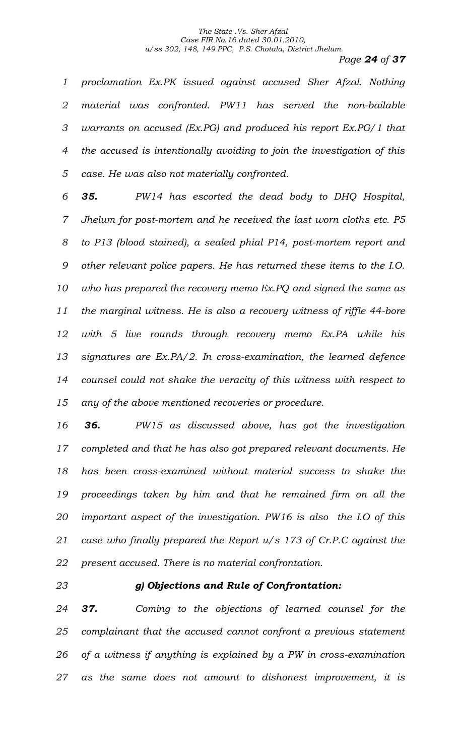## *Page 24 of 37*

 *proclamation Ex.PK issued against accused Sher Afzal. Nothing material was confronted. PW11 has served the non-bailable warrants on accused (Ex.PG) and produced his report Ex.PG/1 that the accused is intentionally avoiding to join the investigation of this case. He was also not materially confronted.* 

 *35. PW14 has escorted the dead body to DHQ Hospital, Jhelum for post-mortem and he received the last worn cloths etc. P5 to P13 (blood stained), a sealed phial P14, post-mortem report and other relevant police papers. He has returned these items to the I.O. who has prepared the recovery memo Ex.PQ and signed the same as the marginal witness. He is also a recovery witness of riffle 44-bore with 5 live rounds through recovery memo Ex.PA while his signatures are Ex.PA/2. In cross-examination, the learned defence counsel could not shake the veracity of this witness with respect to any of the above mentioned recoveries or procedure.* 

 *36. PW15 as discussed above, has got the investigation completed and that he has also got prepared relevant documents. He has been cross-examined without material success to shake the proceedings taken by him and that he remained firm on all the important aspect of the investigation. PW16 is also the I.O of this case who finally prepared the Report u/s 173 of Cr.P.C against the present accused. There is no material confrontation.*

## *g) Objections and Rule of Confrontation:*

 *37. Coming to the objections of learned counsel for the complainant that the accused cannot confront a previous statement of a witness if anything is explained by a PW in cross-examination as the same does not amount to dishonest improvement, it is*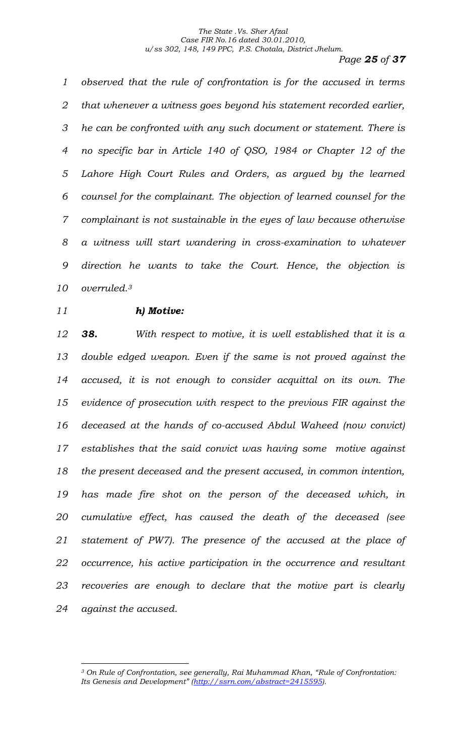*Page 25 of 37*

 *observed that the rule of confrontation is for the accused in terms that whenever a witness goes beyond his statement recorded earlier, he can be confronted with any such document or statement. There is no specific bar in Article 140 of QSO, 1984 or Chapter 12 of the Lahore High Court Rules and Orders, as argued by the learned counsel for the complainant. The objection of learned counsel for the complainant is not sustainable in the eyes of law because otherwise a witness will start wandering in cross-examination to whatever direction he wants to take the Court. Hence, the objection is overruled. <sup>3</sup>*

## *h) Motive:*

 *38. With respect to motive, it is well established that it is a double edged weapon. Even if the same is not proved against the accused, it is not enough to consider acquittal on its own. The evidence of prosecution with respect to the previous FIR against the deceased at the hands of co-accused Abdul Waheed (now convict) establishes that the said convict was having some motive against the present deceased and the present accused, in common intention, has made fire shot on the person of the deceased which, in cumulative effect, has caused the death of the deceased (see statement of PW7). The presence of the accused at the place of occurrence, his active participation in the occurrence and resultant recoveries are enough to declare that the motive part is clearly against the accused.*

 *On Rule of Confrontation, see generally, Rai Muhammad Khan, "Rule of Confrontation: Its Genesis and Development" ([http://ssrn.com/abstract=2415595\)](http://ssrn.com/abstract=2415595).*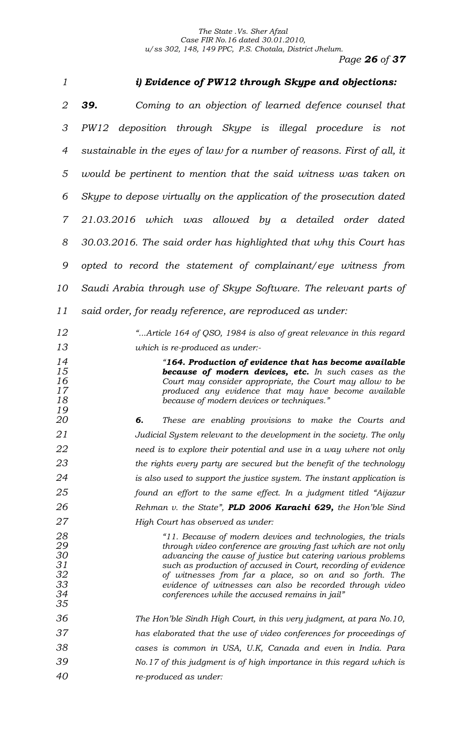*Page 26 of 37*

| 1                                            | i) Evidence of PW12 through Skype and objections:                                                                                                                                                                                                                                                                                                                                                                                    |
|----------------------------------------------|--------------------------------------------------------------------------------------------------------------------------------------------------------------------------------------------------------------------------------------------------------------------------------------------------------------------------------------------------------------------------------------------------------------------------------------|
| 2                                            | 39.<br>Coming to an objection of learned defence counsel that                                                                                                                                                                                                                                                                                                                                                                        |
| 3                                            | PW12 deposition through Skype is illegal procedure is<br>not                                                                                                                                                                                                                                                                                                                                                                         |
| $\overline{4}$                               | sustainable in the eyes of law for a number of reasons. First of all, it                                                                                                                                                                                                                                                                                                                                                             |
| 5                                            | would be pertinent to mention that the said witness was taken on                                                                                                                                                                                                                                                                                                                                                                     |
| 6                                            | Skype to depose virtually on the application of the prosecution dated                                                                                                                                                                                                                                                                                                                                                                |
| $\overline{7}$                               | 21.03.2016 which was allowed by a detailed order dated                                                                                                                                                                                                                                                                                                                                                                               |
| 8                                            | 30.03.2016. The said order has highlighted that why this Court has                                                                                                                                                                                                                                                                                                                                                                   |
| 9                                            | opted to record the statement of complainant/eye witness from                                                                                                                                                                                                                                                                                                                                                                        |
| 10                                           | Saudi Arabia through use of Skype Software. The relevant parts of                                                                                                                                                                                                                                                                                                                                                                    |
| 11                                           | said order, for ready reference, are reproduced as under:                                                                                                                                                                                                                                                                                                                                                                            |
| 12                                           | "Article 164 of QSO, 1984 is also of great relevance in this regard                                                                                                                                                                                                                                                                                                                                                                  |
| 13                                           | which is re-produced as under:-                                                                                                                                                                                                                                                                                                                                                                                                      |
| 14<br>15<br>16<br>17<br>18<br>19             | "164. Production of evidence that has become available<br><b>because of modern devices, etc.</b> In such cases as the<br>Court may consider appropriate, the Court may allow to be<br>produced any evidence that may have become available<br>because of modern devices or techniques."                                                                                                                                              |
| <i>20</i>                                    | б.<br>These are enabling provisions to make the Courts and                                                                                                                                                                                                                                                                                                                                                                           |
| 21                                           | Judicial System relevant to the development in the society. The only                                                                                                                                                                                                                                                                                                                                                                 |
| 22                                           | need is to explore their potential and use in a way where not only                                                                                                                                                                                                                                                                                                                                                                   |
| 23                                           | the rights every party are secured but the benefit of the technology                                                                                                                                                                                                                                                                                                                                                                 |
| 24<br>25                                     | is also used to support the justice system. The instant application is                                                                                                                                                                                                                                                                                                                                                               |
| 26                                           | found an effort to the same effect. In a judgment titled "Aijazur<br>Rehman v. the State", PLD 2006 Karachi 629, the Hon'ble Sind                                                                                                                                                                                                                                                                                                    |
| 27                                           | High Court has observed as under:                                                                                                                                                                                                                                                                                                                                                                                                    |
| 28<br>29<br>30<br>31<br>32<br>33<br>34<br>35 | "11. Because of modern devices and technologies, the trials<br>through video conference are growing fast which are not only<br>advancing the cause of justice but catering various problems<br>such as production of accused in Court, recording of evidence<br>of witnesses from far a place, so on and so forth. The<br>evidence of witnesses can also be recorded through video<br>conferences while the accused remains in jail" |
| 36                                           | The Hon'ble Sindh High Court, in this very judgment, at para No.10,                                                                                                                                                                                                                                                                                                                                                                  |
| 37                                           | has elaborated that the use of video conferences for proceedings of                                                                                                                                                                                                                                                                                                                                                                  |
| 38                                           | cases is common in USA, U.K, Canada and even in India. Para                                                                                                                                                                                                                                                                                                                                                                          |
| 39                                           | No.17 of this judgment is of high importance in this regard which is                                                                                                                                                                                                                                                                                                                                                                 |
| 40                                           | re-produced as under:                                                                                                                                                                                                                                                                                                                                                                                                                |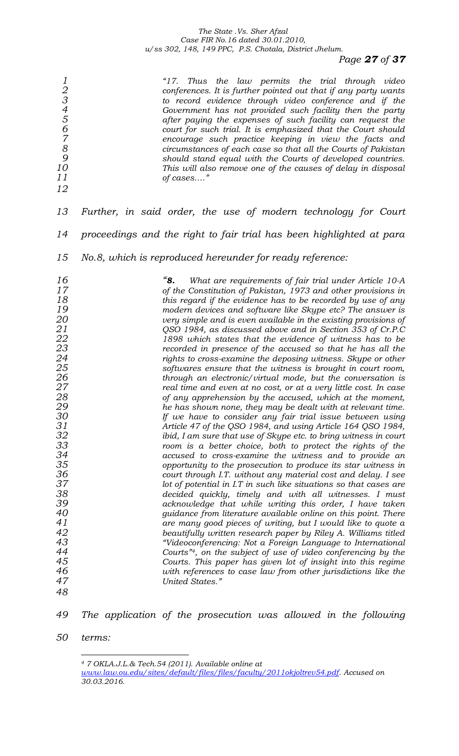*Page 27 of 37*

| 123456789<br>10<br>11<br>12                                                                                                                                                              | "17. Thus the law permits the trial through video<br>conferences. It is further pointed out that if any party wants<br>to record evidence through video conference and if the<br>Government has not provided such facility then the party<br>after paying the expenses of such facility can request the<br>court for such trial. It is emphasized that the Court should<br>encourage such practice keeping in view the facts and<br>circumstances of each case so that all the Courts of Pakistan<br>should stand equal with the Courts of developed countries.<br>This will also remove one of the causes of delay in disposal<br>of cases"                                                                                                                                                                                                                                                                                                                                                                                                                                                                                                                                                                                                                                                                                                                                                                                                                                                                                                                                                                                                                                                                                                                                                                                                                                                                                                                                           |
|------------------------------------------------------------------------------------------------------------------------------------------------------------------------------------------|----------------------------------------------------------------------------------------------------------------------------------------------------------------------------------------------------------------------------------------------------------------------------------------------------------------------------------------------------------------------------------------------------------------------------------------------------------------------------------------------------------------------------------------------------------------------------------------------------------------------------------------------------------------------------------------------------------------------------------------------------------------------------------------------------------------------------------------------------------------------------------------------------------------------------------------------------------------------------------------------------------------------------------------------------------------------------------------------------------------------------------------------------------------------------------------------------------------------------------------------------------------------------------------------------------------------------------------------------------------------------------------------------------------------------------------------------------------------------------------------------------------------------------------------------------------------------------------------------------------------------------------------------------------------------------------------------------------------------------------------------------------------------------------------------------------------------------------------------------------------------------------------------------------------------------------------------------------------------------------|
| 13                                                                                                                                                                                       | Further, in said order, the use of modern technology for Court                                                                                                                                                                                                                                                                                                                                                                                                                                                                                                                                                                                                                                                                                                                                                                                                                                                                                                                                                                                                                                                                                                                                                                                                                                                                                                                                                                                                                                                                                                                                                                                                                                                                                                                                                                                                                                                                                                                         |
| 14                                                                                                                                                                                       | proceedings and the right to fair trial has been highlighted at para                                                                                                                                                                                                                                                                                                                                                                                                                                                                                                                                                                                                                                                                                                                                                                                                                                                                                                                                                                                                                                                                                                                                                                                                                                                                                                                                                                                                                                                                                                                                                                                                                                                                                                                                                                                                                                                                                                                   |
| 15                                                                                                                                                                                       | No.8, which is reproduced hereunder for ready reference:                                                                                                                                                                                                                                                                                                                                                                                                                                                                                                                                                                                                                                                                                                                                                                                                                                                                                                                                                                                                                                                                                                                                                                                                                                                                                                                                                                                                                                                                                                                                                                                                                                                                                                                                                                                                                                                                                                                               |
| 16<br>17<br>18<br>19<br>20<br>21<br>22<br>23<br>24<br>25<br>26<br>${\bf 27}$<br>28<br>29<br>30<br>31<br>32<br>33<br>34<br>35<br>36<br>37<br>38<br>39<br>40<br>41<br>42<br>43<br>44<br>45 | "8.<br>What are requirements of fair trial under Article 10-A<br>of the Constitution of Pakistan, 1973 and other provisions in<br>this regard if the evidence has to be recorded by use of any<br>modern devices and software like Skype etc? The answer is<br>very simple and is even available in the existing provisions of<br>QSO 1984, as discussed above and in Section 353 of Cr.P.C<br>1898 which states that the evidence of witness has to be<br>recorded in presence of the accused so that he has all the<br>rights to cross-examine the deposing witness. Skype or other<br>softwares ensure that the witness is brought in court room,<br>through an electronic/virtual mode, but the conversation is<br>real time and even at no cost, or at a very little cost. In case<br>of any apprehension by the accused, which at the moment,<br>he has shown none, they may be dealt with at relevant time.<br>If we have to consider any fair trial issue between using<br>Article 47 of the QSO 1984, and using Article 164 QSO 1984,<br>ibid, I am sure that use of Skype etc. to bring witness in court<br>room is a better choice, both to protect the rights of the<br>accused to cross-examine the witness and to provide an<br>opportunity to the prosecution to produce its star witness in<br>court through I.T. without any material cost and delay. I see<br>lot of potential in I.T in such like situations so that cases are<br>decided quickly, timely and with all witnesses. I must<br>acknowledge that while writing this order, I have taken<br>guidance from literature available online on this point. There<br>are many good pieces of writing, but I would like to quote a<br>beautifully written research paper by Riley A. Williams titled<br>"Videoconferencing: Not a Foreign Language to International<br>Courts" <sup>4</sup> , on the subject of use of video conferencing by the<br>Courts. This paper has given lot of insight into this regime |
| 46<br>47<br>48                                                                                                                                                                           | with references to case law from other jurisdictions like the<br>United States."                                                                                                                                                                                                                                                                                                                                                                                                                                                                                                                                                                                                                                                                                                                                                                                                                                                                                                                                                                                                                                                                                                                                                                                                                                                                                                                                                                                                                                                                                                                                                                                                                                                                                                                                                                                                                                                                                                       |

*The application of the prosecution was allowed in the following* 

*terms:*

*7 OKLA.J.L.& Tech.54 (2011). Available online at* 

*[www.law.ou.edu/sites/default/files/files/faculty/2011okjoltrev54.pdf.](http://www.law.ou.edu/sites/default/files/files/faculty/2011okjoltrev54.pdf) Accused on 30.03.2016.*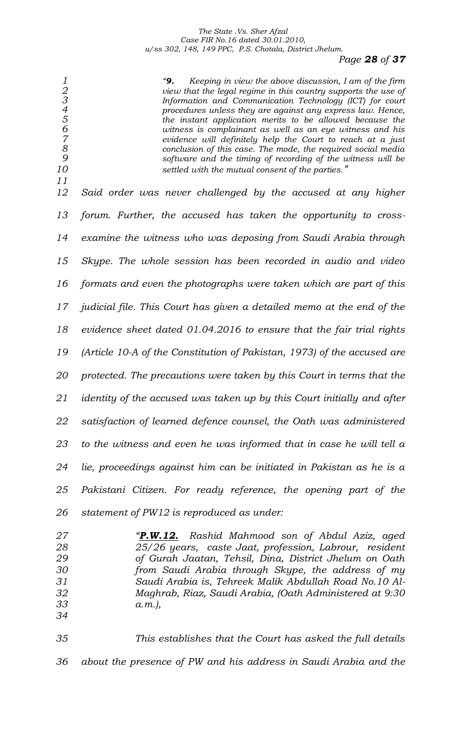*Page 28 of 37*

<sup>4</sup><br> **2** *1* **<b>2** *1 1 1 1 1 1 1 1 1 1 1 1 1 1 1 1 1 1 1 1 1 1 1 1 1 1 1 1 1 1 1 1 1 1 view that the legal regime in this country supports the use of Information and Communication Technology (ICT) for court procedures unless they are against any express law. Hence, the instant application merits to be allowed because the witness is complainant as well as an eye witness and his evidence will definitely help the Court to reach at a just conclusion of this case. The mode, the required social media software and the timing of recording of the witness will be settled with the mutual consent of the parties." Said order was never challenged by the accused at any higher forum. Further, the accused has taken the opportunity to cross- examine the witness who was deposing from Saudi Arabia through Skype. The whole session has been recorded in audio and video formats and even the photographs were taken which are part of this judicial file. This Court has given a detailed memo at the end of the evidence sheet dated 01.04.2016 to ensure that the fair trial rights (Article 10-A of the Constitution of Pakistan, 1973) of the accused are protected. The precautions were taken by this Court in terms that the identity of the accused was taken up by this Court initially and after satisfaction of learned defence counsel, the Oath was administered to the witness and even he was informed that in case he will tell a lie, proceedings against him can be initiated in Pakistan as he is a Pakistani Citizen. For ready reference, the opening part of the statement of PW12 is reproduced as under:*

 *"P.W.12. Rashid Mahmood son of Abdul Aziz, aged 25/26 years, caste Jaat, profession, Labrour, resident of Gurah Jaatan, Tehsil, Dina, District Jhelum on Oath from Saudi Arabia through Skype, the address of my Saudi Arabia is, Tehreek Malik Abdullah Road No.10 Al- Maghrab, Riaz, Saudi Arabia, (Oath Administered at 9:30 a.m.),*  

 *This establishes that the Court has asked the full details about the presence of PW and his address in Saudi Arabia and the*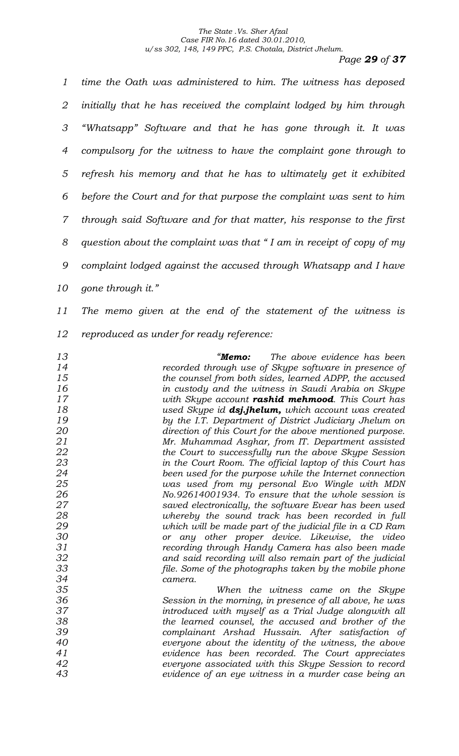*Page 29 of 37*

 *time the Oath was administered to him. The witness has deposed initially that he has received the complaint lodged by him through "Whatsapp" Software and that he has gone through it. It was compulsory for the witness to have the complaint gone through to refresh his memory and that he has to ultimately get it exhibited before the Court and for that purpose the complaint was sent to him through said Software and for that matter, his response to the first question about the complaint was that " I am in receipt of copy of my complaint lodged against the accused through Whatsapp and I have gone through it."*

 *The memo given at the end of the statement of the witness is reproduced as under for ready reference:*

 *"Memo: The above evidence has been recorded through use of Skype software in presence of the counsel from both sides, learned ADPP, the accused in custody and the witness in Saudi Arabia on Skype with Skype account rashid mehmood. This Court has used Skype id dsj.jhelum, which account was created by the I.T. Department of District Judiciary Jhelum on direction of this Court for the above mentioned purpose. Mr. Muhammad Asghar, from IT. Department assisted the Court to successfully run the above Skype Session in the Court Room. The official laptop of this Court has been used for the purpose while the Internet connection was used from my personal Evo Wingle with MDN No.92614001934. To ensure that the whole session is saved electronically, the software Evear has been used whereby the sound track has been recorded in full which will be made part of the judicial file in a CD Ram or any other proper device. Likewise, the video recording through Handy Camera has also been made and said recording will also remain part of the judicial file. Some of the photographs taken by the mobile phone camera. When the witness came on the Skype Session in the morning, in presence of all above, he was introduced with myself as a Trial Judge alongwith all the learned counsel, the accused and brother of the complainant Arshad Hussain. After satisfaction of everyone about the identity of the witness, the above evidence has been recorded. The Court appreciates* 

*evidence of an eye witness in a murder case being an* 

*everyone associated with this Skype Session to record*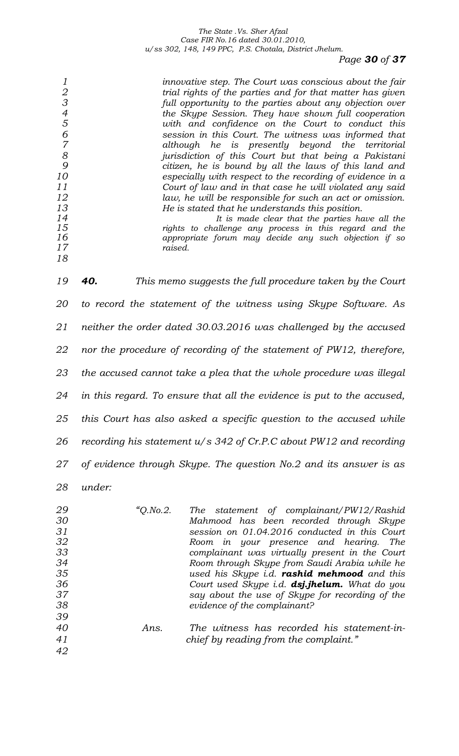## *Page 30 of 37*

| 1<br>$\frac{2}{3}$<br>$\overline{4}$<br>$\overline{5}$<br>$\epsilon$<br>$\overline{7}$<br>8<br>9<br>10<br>11<br>12<br>13<br>14<br>15<br>16<br>17<br>18 | innovative step. The Court was conscious about the fair<br>trial rights of the parties and for that matter has given<br>full opportunity to the parties about any objection over<br>the Skype Session. They have shown full cooperation<br>with and confidence on the Court to conduct this<br>session in this Court. The witness was informed that<br>although he is presently beyond the<br>territorial<br>jurisdiction of this Court but that being a Pakistani<br>citizen, he is bound by all the laws of this land and<br>especially with respect to the recording of evidence in a<br>Court of law and in that case he will violated any said<br>law, he will be responsible for such an act or omission.<br>He is stated that he understands this position.<br>It is made clear that the parties have all the<br>rights to challenge any process in this regard and the<br>appropriate forum may decide any such objection if so<br>raised. |
|--------------------------------------------------------------------------------------------------------------------------------------------------------|----------------------------------------------------------------------------------------------------------------------------------------------------------------------------------------------------------------------------------------------------------------------------------------------------------------------------------------------------------------------------------------------------------------------------------------------------------------------------------------------------------------------------------------------------------------------------------------------------------------------------------------------------------------------------------------------------------------------------------------------------------------------------------------------------------------------------------------------------------------------------------------------------------------------------------------------------|
| 19                                                                                                                                                     | 40.<br>This memo suggests the full procedure taken by the Court                                                                                                                                                                                                                                                                                                                                                                                                                                                                                                                                                                                                                                                                                                                                                                                                                                                                                    |
| 20                                                                                                                                                     | to record the statement of the witness using Skype Software. As                                                                                                                                                                                                                                                                                                                                                                                                                                                                                                                                                                                                                                                                                                                                                                                                                                                                                    |
| 21                                                                                                                                                     | neither the order dated 30.03.2016 was challenged by the accused                                                                                                                                                                                                                                                                                                                                                                                                                                                                                                                                                                                                                                                                                                                                                                                                                                                                                   |
| 22                                                                                                                                                     | nor the procedure of recording of the statement of PW12, therefore,                                                                                                                                                                                                                                                                                                                                                                                                                                                                                                                                                                                                                                                                                                                                                                                                                                                                                |
| 23                                                                                                                                                     | the accused cannot take a plea that the whole procedure was illegal                                                                                                                                                                                                                                                                                                                                                                                                                                                                                                                                                                                                                                                                                                                                                                                                                                                                                |
| 24                                                                                                                                                     | in this regard. To ensure that all the evidence is put to the accused,                                                                                                                                                                                                                                                                                                                                                                                                                                                                                                                                                                                                                                                                                                                                                                                                                                                                             |
| 25                                                                                                                                                     | this Court has also asked a specific question to the accused while                                                                                                                                                                                                                                                                                                                                                                                                                                                                                                                                                                                                                                                                                                                                                                                                                                                                                 |
| 26                                                                                                                                                     | recording his statement $u/s$ 342 of Cr.P.C about PW12 and recording                                                                                                                                                                                                                                                                                                                                                                                                                                                                                                                                                                                                                                                                                                                                                                                                                                                                               |
| 27                                                                                                                                                     | of evidence through Skype. The question No.2 and its answer is as                                                                                                                                                                                                                                                                                                                                                                                                                                                                                                                                                                                                                                                                                                                                                                                                                                                                                  |
| 28                                                                                                                                                     | under:                                                                                                                                                                                                                                                                                                                                                                                                                                                                                                                                                                                                                                                                                                                                                                                                                                                                                                                                             |
| 29                                                                                                                                                     | "Q. No. 2.<br><b>The</b><br>statement of complainant/PW12/Rashid                                                                                                                                                                                                                                                                                                                                                                                                                                                                                                                                                                                                                                                                                                                                                                                                                                                                                   |

 *Mahmood has been recorded through Skype session on 01.04.2016 conducted in this Court Room in your presence and hearing. The complainant was virtually present in the Court Room through Skype from Saudi Arabia while he used his Skype i.d. rashid mehmood and this Court used Skype i.d. dsj.jhelum. What do you say about the use of Skype for recording of the evidence of the complainant?* 

 *Ans. The witness has recorded his statement-in- chief by reading from the complaint."*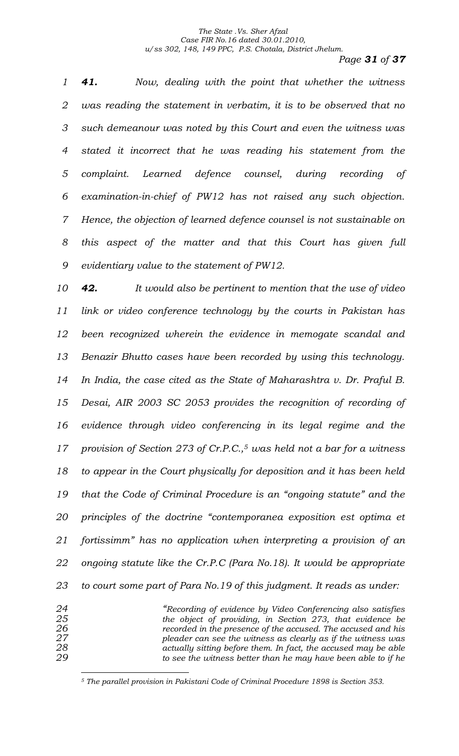*Page 31 of 37*

 *41. Now, dealing with the point that whether the witness was reading the statement in verbatim, it is to be observed that no such demeanour was noted by this Court and even the witness was stated it incorrect that he was reading his statement from the complaint. Learned defence counsel, during recording of examination-in-chief of PW12 has not raised any such objection. Hence, the objection of learned defence counsel is not sustainable on this aspect of the matter and that this Court has given full evidentiary value to the statement of PW12.* 

 *42. It would also be pertinent to mention that the use of video link or video conference technology by the courts in Pakistan has been recognized wherein the evidence in memogate scandal and Benazir Bhutto cases have been recorded by using this technology. In India, the case cited as the State of Maharashtra v. Dr. Praful B. Desai, AIR 2003 SC 2053 provides the recognition of recording of evidence through video conferencing in its legal regime and the provision of Section 273 of Cr.P.C., <sup>5</sup> was held not a bar for a witness to appear in the Court physically for deposition and it has been held that the Code of Criminal Procedure is an "ongoing statute" and the principles of the doctrine "contemporanea exposition est optima et fortissimm" has no application when interpreting a provision of an ongoing statute like the Cr.P.C (Para No.18). It would be appropriate to court some part of Para No.19 of this judgment. It reads as under:*

 *"Recording of evidence by Video Conferencing also satisfies the object of providing, in Section 273, that evidence be recorded in the presence of the accused. The accused and his pleader can see the witness as clearly as if the witness was actually sitting before them. In fact, the accused may be able to see the witness better than he may have been able to if he* 

*The parallel provision in Pakistani Code of Criminal Procedure 1898 is Section 353.*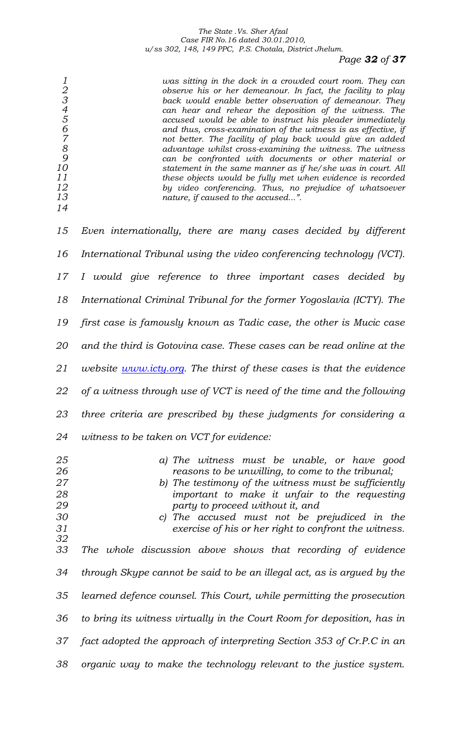# *Page 32 of 37*

|    | was sitting in the dock in a crowded court room. They can      |
|----|----------------------------------------------------------------|
|    | observe his or her demeanour. In fact, the facility to play    |
| З  | back would enable better observation of demeanour. They        |
|    | can hear and rehear the deposition of the witness. The         |
| .5 | accused would be able to instruct his pleader immediately      |
|    | and thus, cross-examination of the witness is as effective, if |
|    | not better. The facility of play back would give an added      |
| 8  | advantage whilst cross-examining the witness. The witness      |
| 9  | can be confronted with documents or other material or          |
| 10 | statement in the same manner as if he/she was in court. All    |
| 11 | these objects would be fully met when evidence is recorded     |
| 12 | by video conferencing. Thus, no prejudice of whatsoever        |
| 13 | nature, if caused to the accused".                             |
| 14 |                                                                |

| 15                                                 | Even internationally, there are many cases decided by different                                                                                                                                                                                                                                                                                                                                                       |
|----------------------------------------------------|-----------------------------------------------------------------------------------------------------------------------------------------------------------------------------------------------------------------------------------------------------------------------------------------------------------------------------------------------------------------------------------------------------------------------|
| 16                                                 | International Tribunal using the video conferencing technology (VCT).                                                                                                                                                                                                                                                                                                                                                 |
| 17                                                 | I would give reference to three important cases decided by                                                                                                                                                                                                                                                                                                                                                            |
| 18                                                 | International Criminal Tribunal for the former Yogoslavia (ICTY). The                                                                                                                                                                                                                                                                                                                                                 |
| 19                                                 | first case is famously known as Tadic case, the other is Mucic case                                                                                                                                                                                                                                                                                                                                                   |
| 20                                                 | and the third is Gotovina case. These cases can be read online at the                                                                                                                                                                                                                                                                                                                                                 |
| 21                                                 | <i>website <u>www.icty.org</u></i> . The thirst of these cases is that the evidence                                                                                                                                                                                                                                                                                                                                   |
| 22                                                 | of a witness through use of VCT is need of the time and the following                                                                                                                                                                                                                                                                                                                                                 |
| 23                                                 | three criteria are prescribed by these judgments for considering a                                                                                                                                                                                                                                                                                                                                                    |
| 24                                                 | witness to be taken on VCT for evidence:                                                                                                                                                                                                                                                                                                                                                                              |
|                                                    |                                                                                                                                                                                                                                                                                                                                                                                                                       |
| 25<br>26<br>27<br>28<br>29<br>30<br>31<br>32<br>33 | a) The witness must be unable, or have good<br>reasons to be unwilling, to come to the tribunal;<br>b) The testimony of the witness must be sufficiently<br>important to make it unfair to the requesting<br>party to proceed without it, and<br>c) The accused must not be prejudiced in the<br>exercise of his or her right to confront the witness.<br>The whole discussion above shows that recording of evidence |
| 34                                                 | through Skype cannot be said to be an illegal act, as is argued by the                                                                                                                                                                                                                                                                                                                                                |
| 35                                                 | learned defence counsel. This Court, while permitting the prosecution                                                                                                                                                                                                                                                                                                                                                 |
| 36                                                 | to bring its witness virtually in the Court Room for deposition, has in                                                                                                                                                                                                                                                                                                                                               |
| 37                                                 | fact adopted the approach of interpreting Section 353 of Cr.P.C in an                                                                                                                                                                                                                                                                                                                                                 |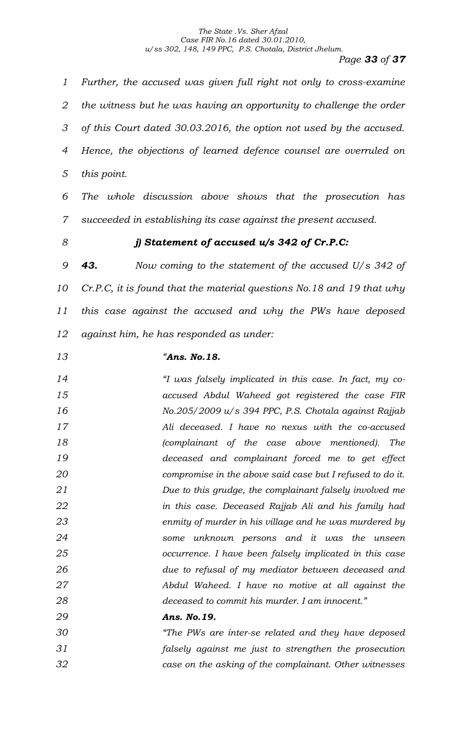*Page 33 of 37*

 *Further, the accused was given full right not only to cross-examine the witness but he was having an opportunity to challenge the order of this Court dated 30.03.2016, the option not used by the accused. Hence, the objections of learned defence counsel are overruled on this point.* 

 *The whole discussion above shows that the prosecution has succeeded in establishing its case against the present accused.* 

## *j) Statement of accused u/s 342 of Cr.P.C:*

 *43. Now coming to the statement of the accused U/s 342 of Cr.P.C, it is found that the material questions No.18 and 19 that why this case against the accused and why the PWs have deposed against him, he has responded as under:*

## *"Ans. No.18.*

 *"I was falsely implicated in this case. In fact, my co- accused Abdul Waheed got registered the case FIR No.205/2009 u/s 394 PPC, P.S. Chotala against Rajjab Ali deceased. I have no nexus with the co-accused (complainant of the case above mentioned). The deceased and complainant forced me to get effect compromise in the above said case but I refused to do it. Due to this grudge, the complainant falsely involved me in this case. Deceased Rajjab Ali and his family had enmity of murder in his village and he was murdered by some unknown persons and it was the unseen occurrence. I have been falsely implicated in this case due to refusal of my mediator between deceased and Abdul Waheed. I have no motive at all against the deceased to commit his murder. I am innocent."*

- *Ans. No.19.*
- *"The PWs are inter-se related and they have deposed falsely against me just to strengthen the prosecution case on the asking of the complainant. Other witnesses*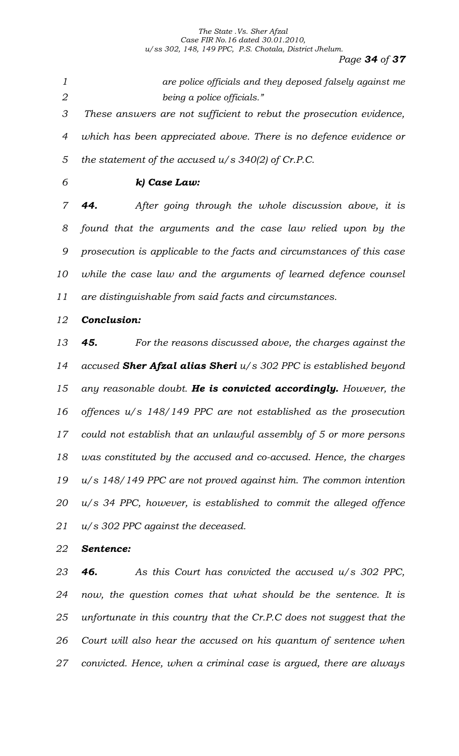*Page 34 of 37*

 *are police officials and they deposed falsely against me being a police officials." These answers are not sufficient to rebut the prosecution evidence, which has been appreciated above. There is no defence evidence or* 

*the statement of the accused u/s 340(2) of Cr.P.C.*

## *k) Case Law:*

 *44. After going through the whole discussion above, it is found that the arguments and the case law relied upon by the prosecution is applicable to the facts and circumstances of this case while the case law and the arguments of learned defence counsel are distinguishable from said facts and circumstances.* 

*Conclusion:*

 *45. For the reasons discussed above, the charges against the accused Sher Afzal alias Sheri u/s 302 PPC is established beyond any reasonable doubt. He is convicted accordingly. However, the offences u/s 148/149 PPC are not established as the prosecution could not establish that an unlawful assembly of 5 or more persons was constituted by the accused and co-accused. Hence, the charges u/s 148/149 PPC are not proved against him. The common intention u/s 34 PPC, however, is established to commit the alleged offence u/s 302 PPC against the deceased.* 

## *Sentence:*

 *46. As this Court has convicted the accused u/s 302 PPC, now, the question comes that what should be the sentence. It is unfortunate in this country that the Cr.P.C does not suggest that the Court will also hear the accused on his quantum of sentence when convicted. Hence, when a criminal case is argued, there are always*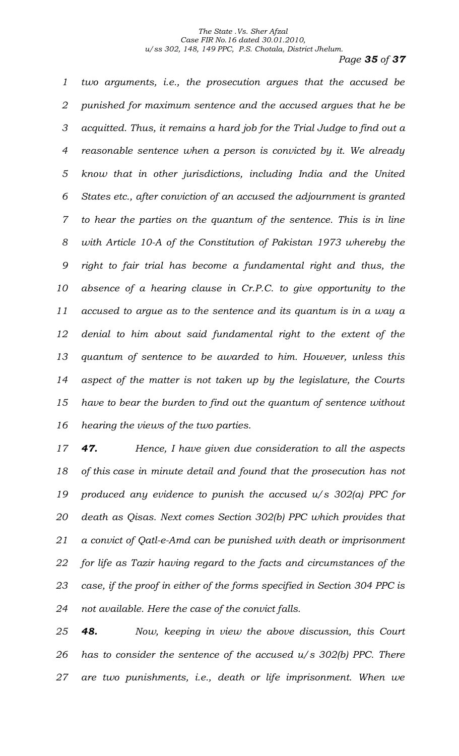*Page 35 of 37*

 *two arguments, i.e., the prosecution argues that the accused be punished for maximum sentence and the accused argues that he be acquitted. Thus, it remains a hard job for the Trial Judge to find out a reasonable sentence when a person is convicted by it. We already know that in other jurisdictions, including India and the United States etc., after conviction of an accused the adjournment is granted to hear the parties on the quantum of the sentence. This is in line with Article 10-A of the Constitution of Pakistan 1973 whereby the right to fair trial has become a fundamental right and thus, the absence of a hearing clause in Cr.P.C. to give opportunity to the accused to argue as to the sentence and its quantum is in a way a denial to him about said fundamental right to the extent of the quantum of sentence to be awarded to him. However, unless this aspect of the matter is not taken up by the legislature, the Courts have to bear the burden to find out the quantum of sentence without hearing the views of the two parties.* 

 *47. Hence, I have given due consideration to all the aspects of this case in minute detail and found that the prosecution has not produced any evidence to punish the accused u/s 302(a) PPC for death as Qisas. Next comes Section 302(b) PPC which provides that a convict of Qatl-e-Amd can be punished with death or imprisonment for life as Tazir having regard to the facts and circumstances of the case, if the proof in either of the forms specified in Section 304 PPC is not available. Here the case of the convict falls.* 

 *48. Now, keeping in view the above discussion, this Court has to consider the sentence of the accused u/s 302(b) PPC. There are two punishments, i.e., death or life imprisonment. When we*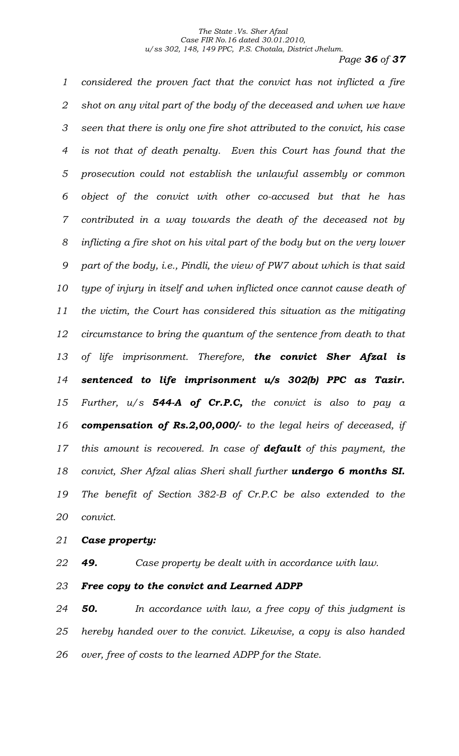*Page 36 of 37*

 *considered the proven fact that the convict has not inflicted a fire shot on any vital part of the body of the deceased and when we have seen that there is only one fire shot attributed to the convict, his case is not that of death penalty. Even this Court has found that the prosecution could not establish the unlawful assembly or common object of the convict with other co-accused but that he has contributed in a way towards the death of the deceased not by inflicting a fire shot on his vital part of the body but on the very lower part of the body, i.e., Pindli, the view of PW7 about which is that said type of injury in itself and when inflicted once cannot cause death of the victim, the Court has considered this situation as the mitigating circumstance to bring the quantum of the sentence from death to that of life imprisonment. Therefore, the convict Sher Afzal is sentenced to life imprisonment u/s 302(b) PPC as Tazir. Further, u/s 544-A of Cr.P.C, the convict is also to pay a compensation of Rs.2,00,000/- to the legal heirs of deceased, if this amount is recovered. In case of default of this payment, the convict, Sher Afzal alias Sheri shall further undergo 6 months SI. The benefit of Section 382-B of Cr.P.C be also extended to the convict.*

## *Case property:*

*49. Case property be dealt with in accordance with law.*

*Free copy to the convict and Learned ADPP*

 *50. In accordance with law, a free copy of this judgment is hereby handed over to the convict. Likewise, a copy is also handed over, free of costs to the learned ADPP for the State.*